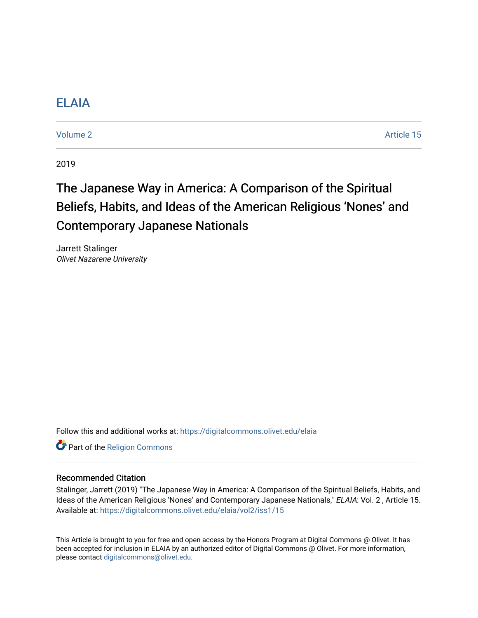# [ELAIA](https://digitalcommons.olivet.edu/elaia)

[Volume 2](https://digitalcommons.olivet.edu/elaia/vol2) Article 15

2019

# The Japanese Way in America: A Comparison of the Spiritual Beliefs, Habits, and Ideas of the American Religious 'Nones' and Contemporary Japanese Nationals

Jarrett Stalinger Olivet Nazarene University

Follow this and additional works at: [https://digitalcommons.olivet.edu/elaia](https://digitalcommons.olivet.edu/elaia?utm_source=digitalcommons.olivet.edu%2Felaia%2Fvol2%2Fiss1%2F15&utm_medium=PDF&utm_campaign=PDFCoverPages)

Part of the [Religion Commons](http://network.bepress.com/hgg/discipline/538?utm_source=digitalcommons.olivet.edu%2Felaia%2Fvol2%2Fiss1%2F15&utm_medium=PDF&utm_campaign=PDFCoverPages)

# Recommended Citation

Stalinger, Jarrett (2019) "The Japanese Way in America: A Comparison of the Spiritual Beliefs, Habits, and Ideas of the American Religious 'Nones' and Contemporary Japanese Nationals," ELAIA: Vol. 2 , Article 15. Available at: [https://digitalcommons.olivet.edu/elaia/vol2/iss1/15](https://digitalcommons.olivet.edu/elaia/vol2/iss1/15?utm_source=digitalcommons.olivet.edu%2Felaia%2Fvol2%2Fiss1%2F15&utm_medium=PDF&utm_campaign=PDFCoverPages) 

This Article is brought to you for free and open access by the Honors Program at Digital Commons @ Olivet. It has been accepted for inclusion in ELAIA by an authorized editor of Digital Commons @ Olivet. For more information, please contact [digitalcommons@olivet.edu.](mailto:digitalcommons@olivet.edu)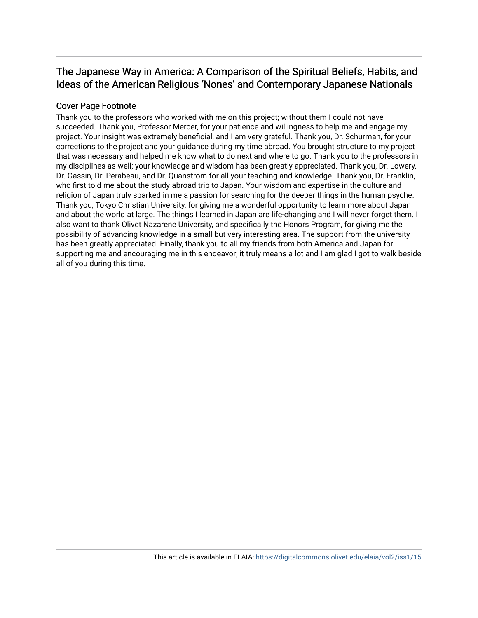# The Japanese Way in America: A Comparison of the Spiritual Beliefs, Habits, and Ideas of the American Religious 'Nones' and Contemporary Japanese Nationals

# Cover Page Footnote

Thank you to the professors who worked with me on this project; without them I could not have succeeded. Thank you, Professor Mercer, for your patience and willingness to help me and engage my project. Your insight was extremely beneficial, and I am very grateful. Thank you, Dr. Schurman, for your corrections to the project and your guidance during my time abroad. You brought structure to my project that was necessary and helped me know what to do next and where to go. Thank you to the professors in my disciplines as well; your knowledge and wisdom has been greatly appreciated. Thank you, Dr. Lowery, Dr. Gassin, Dr. Perabeau, and Dr. Quanstrom for all your teaching and knowledge. Thank you, Dr. Franklin, who first told me about the study abroad trip to Japan. Your wisdom and expertise in the culture and religion of Japan truly sparked in me a passion for searching for the deeper things in the human psyche. Thank you, Tokyo Christian University, for giving me a wonderful opportunity to learn more about Japan and about the world at large. The things I learned in Japan are life-changing and I will never forget them. I also want to thank Olivet Nazarene University, and specifically the Honors Program, for giving me the possibility of advancing knowledge in a small but very interesting area. The support from the university has been greatly appreciated. Finally, thank you to all my friends from both America and Japan for supporting me and encouraging me in this endeavor; it truly means a lot and I am glad I got to walk beside all of you during this time.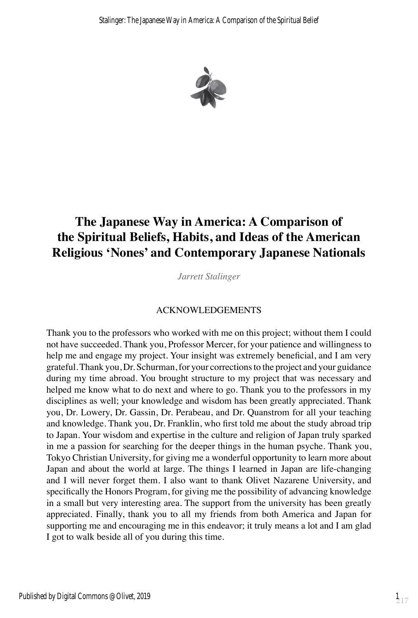

# **The Japanese Way in America: A Comparison of the Spiritual Beliefs, Habits, and Ideas of the American Religious 'Nones' and Contemporary Japanese Nationals**

*Jarrett Stalinger*

# ACKNOWLEDGEMENTS

Thank you to the professors who worked with me on this project; without them I could not have succeeded. Thank you, Professor Mercer, for your patience and willingness to help me and engage my project. Your insight was extremely beneficial, and I am very grateful. Thank you, Dr. Schurman, for your corrections to the project and your guidance during my time abroad. You brought structure to my project that was necessary and helped me know what to do next and where to go. Thank you to the professors in my disciplines as well; your knowledge and wisdom has been greatly appreciated. Thank you, Dr. Lowery, Dr. Gassin, Dr. Perabeau, and Dr. Quanstrom for all your teaching and knowledge. Thank you, Dr. Franklin, who first told me about the study abroad trip to Japan. Your wisdom and expertise in the culture and religion of Japan truly sparked in me a passion for searching for the deeper things in the human psyche. Thank you, Tokyo Christian University, for giving me a wonderful opportunity to learn more about Japan and about the world at large. The things I learned in Japan are life-changing and I will never forget them. I also want to thank Olivet Nazarene University, and specifically the Honors Program, for giving me the possibility of advancing knowledge in a small but very interesting area. The support from the university has been greatly appreciated. Finally, thank you to all my friends from both America and Japan for supporting me and encouraging me in this endeavor; it truly means a lot and I am glad I got to walk beside all of you during this time.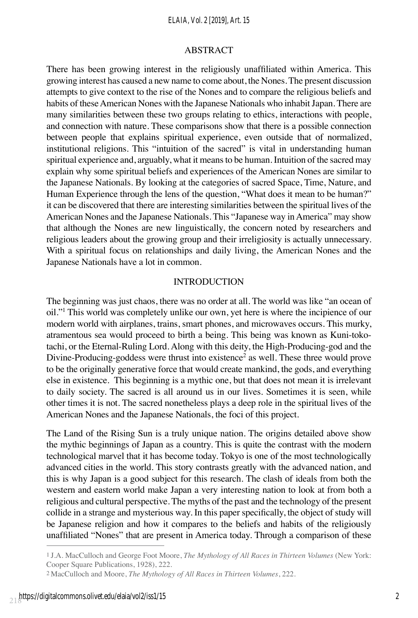#### *ELAIA, Vol. 2 [2019], Art. 15*

#### ABSTRACT

There has been growing interest in the religiously unaffiliated within America. This growing interest has caused a new name to come about, the Nones. The present discussion attempts to give context to the rise of the Nones and to compare the religious beliefs and habits of these American Nones with the Japanese Nationals who inhabit Japan. There are many similarities between these two groups relating to ethics, interactions with people, and connection with nature. These comparisons show that there is a possible connection between people that explains spiritual experience, even outside that of normalized, institutional religions. This "intuition of the sacred" is vital in understanding human spiritual experience and, arguably, what it means to be human. Intuition of the sacred may explain why some spiritual beliefs and experiences of the American Nones are similar to the Japanese Nationals. By looking at the categories of sacred Space, Time, Nature, and Human Experience through the lens of the question, "What does it mean to be human?" it can be discovered that there are interesting similarities between the spiritual lives of the American Nones and the Japanese Nationals. This "Japanese way in America" may show that although the Nones are new linguistically, the concern noted by researchers and religious leaders about the growing group and their irreligiosity is actually unnecessary. With a spiritual focus on relationships and daily living, the American Nones and the Japanese Nationals have a lot in common.

#### INTRODUCTION

The beginning was just chaos, there was no order at all. The world was like "an ocean of oil."1 This world was completely unlike our own, yet here is where the incipience of our modern world with airplanes, trains, smart phones, and microwaves occurs. This murky, atramentous sea would proceed to birth a being. This being was known as Kuni-tokotachi, or the Eternal-Ruling Lord. Along with this deity, the High-Producing-god and the Divine-Producing-goddess were thrust into existence<sup>2</sup> as well. These three would prove to be the originally generative force that would create mankind, the gods, and everything else in existence. This beginning is a mythic one, but that does not mean it is irrelevant to daily society. The sacred is all around us in our lives. Sometimes it is seen, while other times it is not. The sacred nonetheless plays a deep role in the spiritual lives of the American Nones and the Japanese Nationals, the foci of this project.

The Land of the Rising Sun is a truly unique nation. The origins detailed above show the mythic beginnings of Japan as a country. This is quite the contrast with the modern technological marvel that it has become today. Tokyo is one of the most technologically advanced cities in the world. This story contrasts greatly with the advanced nation, and this is why Japan is a good subject for this research. The clash of ideals from both the western and eastern world make Japan a very interesting nation to look at from both a religious and cultural perspective. The myths of the past and the technology of the present collide in a strange and mysterious way. In this paper specifically, the object of study will be Japanese religion and how it compares to the beliefs and habits of the religiously unaffiliated "Nones" that are present in America today. Through a comparison of these

<sup>1</sup> J.A. MacCulloch and George Foot Moore, *The Mythology of All Races in Thirteen Volumes* (New York: Cooper Square Publications, 1928), 222.

<sup>2</sup> MacCulloch and Moore, *The Mythology of All Races in Thirteen Volumes*, 222.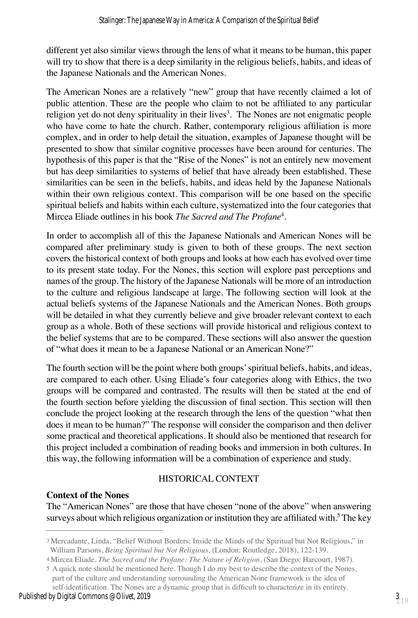different yet also similar views through the lens of what it means to be human, this paper will try to show that there is a deep similarity in the religious beliefs, habits, and ideas of the Japanese Nationals and the American Nones.

The American Nones are a relatively "new" group that have recently claimed a lot of public attention. These are the people who claim to not be affiliated to any particular religion yet do not deny spirituality in their lives<sup>3</sup>. The Nones are not enigmatic people who have come to hate the church. Rather, contemporary religious affiliation is more complex, and in order to help detail the situation, examples of Japanese thought will be presented to show that similar cognitive processes have been around for centuries. The hypothesis of this paper is that the "Rise of the Nones" is not an entirely new movement but has deep similarities to systems of belief that have already been established. These similarities can be seen in the beliefs, habits, and ideas held by the Japanese Nationals within their own religious context. This comparison will be one based on the specific spiritual beliefs and habits within each culture, systematized into the four categories that Mircea Eliade outlines in his book *The Sacred and The Profane*<sup>4</sup> .

In order to accomplish all of this the Japanese Nationals and American Nones will be compared after preliminary study is given to both of these groups. The next section covers the historical context of both groups and looks at how each has evolved over time to its present state today. For the Nones, this section will explore past perceptions and names of the group. The history of the Japanese Nationals will be more of an introduction to the culture and religious landscape at large. The following section will look at the actual beliefs systems of the Japanese Nationals and the American Nones. Both groups will be detailed in what they currently believe and give broader relevant context to each group as a whole. Both of these sections will provide historical and religious context to the belief systems that are to be compared. These sections will also answer the question of "what does it mean to be a Japanese National or an American None?"

The fourth section will be the point where both groups' spiritual beliefs, habits, and ideas, are compared to each other. Using Eliade's four categories along with Ethics, the two groups will be compared and contrasted. The results will then be stated at the end of the fourth section before yielding the discussion of final section. This section will then conclude the project looking at the research through the lens of the question "what then does it mean to be human?" The response will consider the comparison and then deliver some practical and theoretical applications. It should also be mentioned that research for this project included a combination of reading books and immersion in both cultures. In this way, the following information will be a combination of experience and study.

# HISTORICAL CONTEXT

#### **Context of the Nones**

The "American Nones" are those that have chosen "none of the above" when answering surveys about which religious organization or institution they are affiliated with.<sup>5</sup> The key

<sup>3</sup> Mercadante, Linda, "Belief Without Borders: Inside the Minds of the Spiritual but Not Religious," in William Parsons, *Being Spiritual but Not Religious*, (London: Routledge, 2018), 122-139.

<sup>4</sup> Mircea Eliade, *The Sacred and the Profane: The Nature of Religion*, (San Diego: Harcourt, 1987).

<sup>5</sup> A quick note should be mentioned here. Though I do my best to describe the context of the Nones, part of the culture and understanding surrounding the American None framework is the idea of self-identification. The Nones are a dynamic group that is difficult to characterize in its entirety.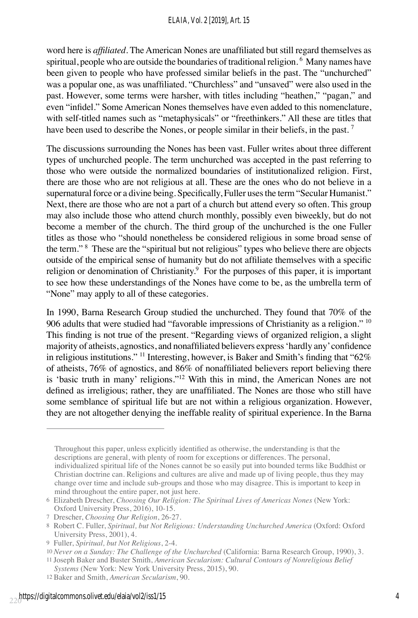word here is *affiliated*. The American Nones are unaffiliated but still regard themselves as spiritual, people who are outside the boundaries of traditional religion. <sup>6</sup> Many names have been given to people who have professed similar beliefs in the past. The "unchurched" was a popular one, as was unaffiliated. "Churchless" and "unsaved" were also used in the past. However, some terms were harsher, with titles including "heathen," "pagan," and even "infidel." Some American Nones themselves have even added to this nomenclature, with self-titled names such as "metaphysicals" or "freethinkers." All these are titles that have been used to describe the Nones, or people similar in their beliefs, in the past.<sup>7</sup>

The discussions surrounding the Nones has been vast. Fuller writes about three different types of unchurched people. The term unchurched was accepted in the past referring to those who were outside the normalized boundaries of institutionalized religion. First, there are those who are not religious at all. These are the ones who do not believe in a supernatural force or a divine being. Specifically, Fuller uses the term "Secular Humanist." Next, there are those who are not a part of a church but attend every so often. This group may also include those who attend church monthly, possibly even biweekly, but do not become a member of the church. The third group of the unchurched is the one Fuller titles as those who "should nonetheless be considered religious in some broad sense of the term." <sup>8</sup> These are the "spiritual but not religious" types who believe there are objects outside of the empirical sense of humanity but do not affiliate themselves with a specific religion or denomination of Christianity.<sup>9</sup> For the purposes of this paper, it is important to see how these understandings of the Nones have come to be, as the umbrella term of "None" may apply to all of these categories.

In 1990, Barna Research Group studied the unchurched. They found that 70% of the 906 adults that were studied had "favorable impressions of Christianity as a religion." 10 This finding is not true of the present. "Regarding views of organized religion, a slight majority of atheists, agnostics, and nonaffiliated believers express 'hardly any' confidence in religious institutions." <sup>11</sup> Interesting, however, is Baker and Smith's finding that "62%" of atheists, 76% of agnostics, and 86% of nonaffiliated believers report believing there is 'basic truth in many' religions."12 With this in mind, the American Nones are not defined as irreligious; rather, they are unaffiliated. The Nones are those who still have some semblance of spiritual life but are not within a religious organization. However, they are not altogether denying the ineffable reality of spiritual experience. In the Barna

Throughout this paper, unless explicitly identified as otherwise, the understanding is that the descriptions are general, with plenty of room for exceptions or differences. The personal, individualized spiritual life of the Nones cannot be so easily put into bounded terms like Buddhist or Christian doctrine can. Religions and cultures are alive and made up of living people, thus they may change over time and include sub-groups and those who may disagree. This is important to keep in mind throughout the entire paper, not just here.

 *Systems* (New York: New York University Press, 2015), 90.

<sup>6</sup> Elizabeth Drescher, *Choosing Our Religion: The Spiritual Lives of Americas Nones* (New York: Oxford University Press, 2016), 10-15.

<sup>7</sup> Drescher, *Choosing Our Religion*, 26-27.

<sup>8</sup> Robert C. Fuller, *Spiritual, but Not Religious: Understanding Unchurched America* (Oxford: Oxford University Press, 2001), 4.

<sup>9</sup> Fuller, *Spiritual, but Not Religious*, 2-4.

<sup>10</sup> *Never on a Sunday: The Challenge of the Unchurched* (California: Barna Research Group, 1990), 3. 11 Joseph Baker and Buster Smith, *American Secularism: Cultural Contours of Nonreligious Belief*

<sup>12</sup> Baker and Smith, *American Secularism*, 90.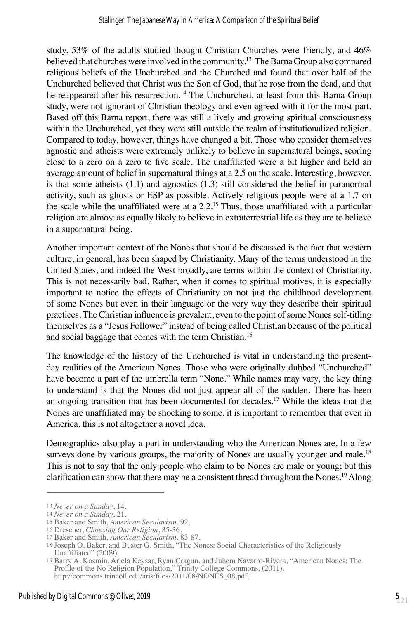study, 53% of the adults studied thought Christian Churches were friendly, and 46% believed that churches were involved in the community.<sup>13</sup> The Barna Group also compared religious beliefs of the Unchurched and the Churched and found that over half of the Unchurched believed that Christ was the Son of God, that he rose from the dead, and that he reappeared after his resurrection.<sup>14</sup> The Unchurched, at least from this Barna Group study, were not ignorant of Christian theology and even agreed with it for the most part. Based off this Barna report, there was still a lively and growing spiritual consciousness within the Unchurched, yet they were still outside the realm of institutionalized religion. Compared to today, however, things have changed a bit. Those who consider themselves agnostic and atheists were extremely unlikely to believe in supernatural beings, scoring close to a zero on a zero to five scale. The unaffiliated were a bit higher and held an average amount of belief in supernatural things at a 2.5 on the scale. Interesting, however, is that some atheists  $(1.1)$  and agnostics  $(1.3)$  still considered the belief in paranormal activity, such as ghosts or ESP as possible. Actively religious people were at a 1.7 on the scale while the unaffiliated were at a 2.2.<sup>15</sup> Thus, those unaffiliated with a particular religion are almost as equally likely to believe in extraterrestrial life as they are to believe in a supernatural being.

Another important context of the Nones that should be discussed is the fact that western culture, in general, has been shaped by Christianity. Many of the terms understood in the United States, and indeed the West broadly, are terms within the context of Christianity. This is not necessarily bad. Rather, when it comes to spiritual motives, it is especially important to notice the effects of Christianity on not just the childhood development of some Nones but even in their language or the very way they describe their spiritual practices. The Christian influence is prevalent, even to the point of some Nones self-titling themselves as a "Jesus Follower" instead of being called Christian because of the political and social baggage that comes with the term Christian.<sup>16</sup>

The knowledge of the history of the Unchurched is vital in understanding the presentday realities of the American Nones. Those who were originally dubbed "Unchurched" have become a part of the umbrella term "None." While names may vary, the key thing to understand is that the Nones did not just appear all of the sudden. There has been an ongoing transition that has been documented for decades.17 While the ideas that the Nones are unaffiliated may be shocking to some, it is important to remember that even in America, this is not altogether a novel idea.

Demographics also play a part in understanding who the American Nones are. In a few surveys done by various groups, the majority of Nones are usually younger and male.<sup>18</sup> This is not to say that the only people who claim to be Nones are male or young; but this clarification can show that there may be a consistent thread throughout the Nones.<sup>19</sup> Along

<sup>13</sup> *Never on a Sunday*, 14.

<sup>14</sup> *Never on a Sunday*, 21.

<sup>15</sup> Baker and Smith, *American Secularism*, 92.

<sup>16</sup> Drescher, *Choosing Our Religion*, 35-36.

<sup>17</sup> Baker and Smith, *American Secularism*, 83-87.

<sup>18</sup> Joseph O. Baker, and Buster G. Smith, "The Nones: Social Characteristics of the Religiously Unaffiliated" (2009).

<sup>19</sup> Barry A. Kosmin, Ariela Keysar, Ryan Cragun, and Juhem Navarro-Rivera, "American Nones: The Profile of the No Religion Population," Trinity College Commons, (2011). http://commons.trincoll.edu/aris/files/2011/08/NONES\_08.pdf.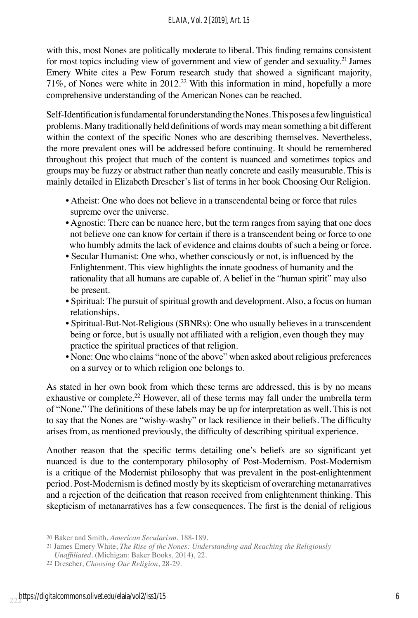with this, most Nones are politically moderate to liberal. This finding remains consistent for most topics including view of government and view of gender and sexuality.<sup>21</sup> James Emery White cites a Pew Forum research study that showed a significant majority, 71%, of Nones were white in 2012.22 With this information in mind, hopefully a more comprehensive understanding of the American Nones can be reached.

Self-Identification is fundamental for understanding the Nones. This poses a few linguistical problems. Many traditionally held definitions of words may mean something a bit different within the context of the specific Nones who are describing themselves. Nevertheless, the more prevalent ones will be addressed before continuing. It should be remembered throughout this project that much of the content is nuanced and sometimes topics and groups may be fuzzy or abstract rather than neatly concrete and easily measurable. This is mainly detailed in Elizabeth Drescher's list of terms in her book Choosing Our Religion.

- Atheist: One who does not believe in a transcendental being or force that rules supreme over the universe.
- Agnostic: There can be nuance here, but the term ranges from saying that one does not believe one can know for certain if there is a transcendent being or force to one who humbly admits the lack of evidence and claims doubts of such a being or force.
- Secular Humanist: One who, whether consciously or not, is influenced by the Enlightenment. This view highlights the innate goodness of humanity and the rationality that all humans are capable of. A belief in the "human spirit" may also be present.
- Spiritual: The pursuit of spiritual growth and development. Also, a focus on human relationships.
- Spiritual-But-Not-Religious (SBNRs): One who usually believes in a transcendent being or force, but is usually not affiliated with a religion, even though they may practice the spiritual practices of that religion.
- None: One who claims "none of the above" when asked about religious preferences on a survey or to which religion one belongs to.

As stated in her own book from which these terms are addressed, this is by no means exhaustive or complete.<sup>22</sup> However, all of these terms may fall under the umbrella term of "None." The definitions of these labels may be up for interpretation as well. This is not to say that the Nones are "wishy-washy" or lack resilience in their beliefs. The difficulty arises from, as mentioned previously, the difficulty of describing spiritual experience.

Another reason that the specific terms detailing one's beliefs are so significant yet nuanced is due to the contemporary philosophy of Post-Modernism. Post-Modernism is a critique of the Modernist philosophy that was prevalent in the post-enlightenment period. Post-Modernism is defined mostly by its skepticism of overarching metanarratives and a rejection of the deification that reason received from enlightenment thinking. This skepticism of metanarratives has a few consequences. The first is the denial of religious

<sup>20</sup> Baker and Smith, *American Secularism*, 188-189.

<sup>21</sup> James Emery White, *The Rise of the Nones: Understanding and Reaching the Religiously*

*Unaffiliated*. (Michigan: Baker Books, 2014), 22.

<sup>22</sup> Drescher, *Choosing Our Religion*, 28-29.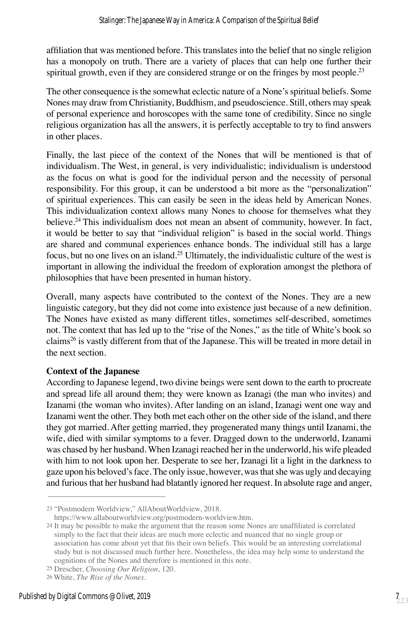affiliation that was mentioned before. This translates into the belief that no single religion has a monopoly on truth. There are a variety of places that can help one further their spiritual growth, even if they are considered strange or on the fringes by most people.<sup>23</sup>

The other consequence is the somewhat eclectic nature of a None's spiritual beliefs. Some Nones may draw from Christianity, Buddhism, and pseudoscience. Still, others may speak of personal experience and horoscopes with the same tone of credibility. Since no single religious organization has all the answers, it is perfectly acceptable to try to find answers in other places.

Finally, the last piece of the context of the Nones that will be mentioned is that of individualism. The West, in general, is very individualistic; individualism is understood as the focus on what is good for the individual person and the necessity of personal responsibility. For this group, it can be understood a bit more as the "personalization" of spiritual experiences. This can easily be seen in the ideas held by American Nones. This individualization context allows many Nones to choose for themselves what they believe.<sup>24</sup>This individualism does not mean an absent of community, however. In fact, it would be better to say that "individual religion" is based in the social world. Things are shared and communal experiences enhance bonds. The individual still has a large focus, but no one lives on an island.25 Ultimately, the individualistic culture of the west is important in allowing the individual the freedom of exploration amongst the plethora of philosophies that have been presented in human history.

Overall, many aspects have contributed to the context of the Nones. They are a new linguistic category, but they did not come into existence just because of a new definition. The Nones have existed as many different titles, sometimes self-described, sometimes not. The context that has led up to the "rise of the Nones," as the title of White's book so claims<sup>26</sup> is vastly different from that of the Japanese. This will be treated in more detail in the next section.

# **Context of the Japanese**

According to Japanese legend, two divine beings were sent down to the earth to procreate and spread life all around them; they were known as Izanagi (the man who invites) and Izanami (the woman who invites). After landing on an island, Izanagi went one way and Izanami went the other. They both met each other on the other side of the island, and there they got married. After getting married, they progenerated many things until Izanami, the wife, died with similar symptoms to a fever. Dragged down to the underworld, Izanami was chased by her husband. When Izanagi reached her in the underworld, his wife pleaded with him to not look upon her. Desperate to see her, Izanagi lit a light in the darkness to gaze upon his beloved's face. The only issue, however, was that she was ugly and decaying and furious that her husband had blatantly ignored her request. In absolute rage and anger,

<sup>23 &</sup>quot;Postmodern Worldview," AllAboutWorldview, 2018.

https://www.allaboutworldview.org/postmodern-worldview.htm.

<sup>24</sup> It may be possible to make the argument that the reason some Nones are unaffiliated is correlated simply to the fact that their ideas are much more eclectic and nuanced that no single group or association has come about yet that fits their own beliefs. This would be an interesting correlational study but is not discussed much further here. Nonetheless, the idea may help some to understand the cognitions of the Nones and therefore is mentioned in this note.

<sup>25</sup> Drescher, *Choosing Our Religion*, 120.

<sup>26</sup> White, *The Rise of the Nones*.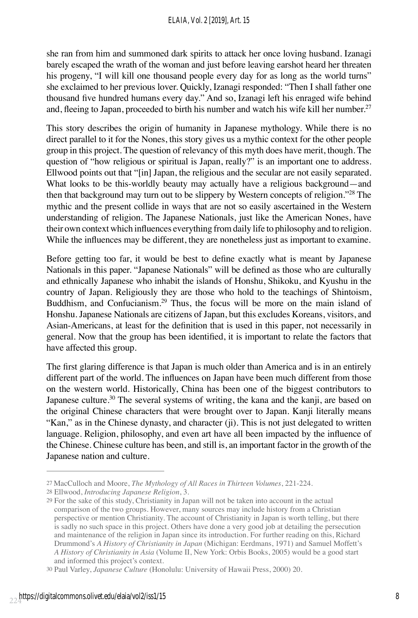she ran from him and summoned dark spirits to attack her once loving husband. Izanagi barely escaped the wrath of the woman and just before leaving earshot heard her threaten his progeny, "I will kill one thousand people every day for as long as the world turns" she exclaimed to her previous lover. Quickly, Izanagi responded: "Then I shall father one thousand five hundred humans every day." And so, Izanagi left his enraged wife behind and, fleeing to Japan, proceeded to birth his number and watch his wife kill her number.<sup>27</sup>

This story describes the origin of humanity in Japanese mythology. While there is no direct parallel to it for the Nones, this story gives us a mythic context for the other people group in this project. The question of relevancy of this myth does have merit, though. The question of "how religious or spiritual is Japan, really?" is an important one to address. Ellwood points out that "[in] Japan, the religious and the secular are not easily separated. What looks to be this-worldly beauty may actually have a religious background—and then that background may turn out to be slippery by Western concepts of religion."28 The mythic and the present collide in ways that are not so easily ascertained in the Western understanding of religion. The Japanese Nationals, just like the American Nones, have their own context which influences everything from daily life to philosophy and to religion. While the influences may be different, they are nonetheless just as important to examine.

Before getting too far, it would be best to define exactly what is meant by Japanese Nationals in this paper. "Japanese Nationals" will be defined as those who are culturally and ethnically Japanese who inhabit the islands of Honshu, Shikoku, and Kyushu in the country of Japan. Religiously they are those who hold to the teachings of Shintoism, Buddhism, and Confucianism.29 Thus, the focus will be more on the main island of Honshu. Japanese Nationals are citizens of Japan, but this excludes Koreans, visitors, and Asian-Americans, at least for the definition that is used in this paper, not necessarily in general. Now that the group has been identified, it is important to relate the factors that have affected this group.

The first glaring difference is that Japan is much older than America and is in an entirely different part of the world. The influences on Japan have been much different from those on the western world. Historically, China has been one of the biggest contributors to Japanese culture.<sup>30</sup> The several systems of writing, the kana and the kanji, are based on the original Chinese characters that were brought over to Japan. Kanji literally means "Kan," as in the Chinese dynasty, and character (ji). This is not just delegated to written language. Religion, philosophy, and even art have all been impacted by the influence of the Chinese. Chinese culture has been, and still is, an important factor in the growth of the Japanese nation and culture.

<sup>27</sup> MacCulloch and Moore, *The Mythology of All Races in Thirteen Volumes*, 221-224.

<sup>28</sup> Ellwood, *Introducing Japanese Religion*, 3.

<sup>29</sup> For the sake of this study, Christianity in Japan will not be taken into account in the actual comparison of the two groups. However, many sources may include history from a Christian perspective or mention Christianity. The account of Christianity in Japan is worth telling, but there is sadly no such space in this project. Others have done a very good job at detailing the persecution and maintenance of the religion in Japan since its introduction. For further reading on this, Richard Drummond's *A History of Christianity in Japan* (Michigan: Eerdmans, 1971) and Samuel Moffett's *A History of Christianity in Asia* (Volume II, New York: Orbis Books, 2005) would be a good start and informed this project's context.

<sup>30</sup> Paul Varley, *Japanese Culture* (Honolulu: University of Hawaii Press, 2000) 20.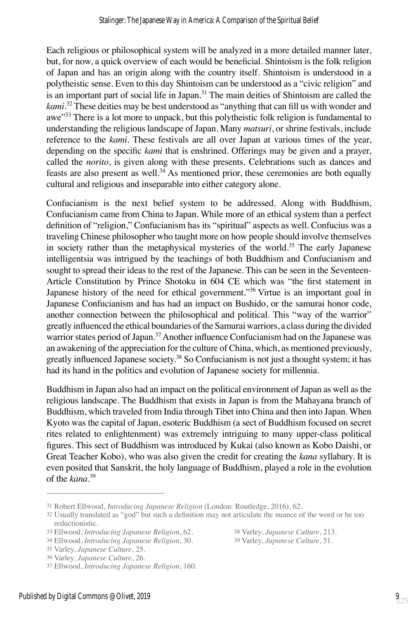Each religious or philosophical system will be analyzed in a more detailed manner later, but, for now, a quick overview of each would be beneficial. Shintoism is the folk religion of Japan and has an origin along with the country itself. Shintoism is understood in a polytheistic sense. Even to this day Shintoism can be understood as a "civic religion" and is an important part of social life in Japan.<sup>31</sup> The main deities of Shintoism are called the *kami*. <sup>32</sup> These deities may be best understood as "anything that can fill us with wonder and awe"<sup>33</sup> There is a lot more to unpack, but this polytheistic folk religion is fundamental to understanding the religious landscape of Japan. Many *matsuri*, or shrine festivals, include reference to the *kami*. These festivals are all over Japan at various times of the year, depending on the specific *kami* that is enshrined. Offerings may be given and a prayer, called the *norito*, is given along with these presents. Celebrations such as dances and feasts are also present as well.<sup>34</sup> As mentioned prior, these ceremonies are both equally cultural and religious and inseparable into either category alone.

Confucianism is the next belief system to be addressed. Along with Buddhism, Confucianism came from China to Japan. While more of an ethical system than a perfect definition of "religion," Confucianism has its "spiritual" aspects as well. Confucius was a traveling Chinese philosopher who taught more on how people should involve themselves in society rather than the metaphysical mysteries of the world.<sup>35</sup> The early Japanese intelligentsia was intrigued by the teachings of both Buddhism and Confucianism and sought to spread their ideas to the rest of the Japanese. This can be seen in the Seventeen-Article Constitution by Prince Shotoku in 604 CE which was "the first statement in Japanese history of the need for ethical government."<sup>36</sup> Virtue is an important goal in Japanese Confucianism and has had an impact on Bushido, or the samurai honor code, another connection between the philosophical and political. This "way of the warrior" greatly influenced the ethical boundaries of the Samurai warriors, a class during the divided warrior states period of Japan.<sup>37</sup> Another influence Confucianism had on the Japanese was an awakening of the appreciation for the culture of China, which, as mentioned previously, greatly influenced Japanese society.38 So Confucianism is not just a thought system; it has had its hand in the politics and evolution of Japanese society for millennia.

Buddhism in Japan also had an impact on the political environment of Japan as well as the religious landscape. The Buddhism that exists in Japan is from the Mahayana branch of Buddhism, which traveled from India through Tibet into China and then into Japan. When Kyoto was the capital of Japan, esoteric Buddhism (a sect of Buddhism focused on secret rites related to enlightenment) was extremely intriguing to many upper-class political figures. This sect of Buddhism was introduced by Kukai (also known as Kobo Daishi, or Great Teacher Kobo), who was also given the credit for creating the *kana* syllabary. It is even posited that Sanskrit, the holy language of Buddhism, played a role in the evolution of the *kana*. 39

35 Varley, *Japanese Culture*, 25. 36 Varley, *Japanese Culture*, 26.

33 Ellwood, *Introducing Japanese Religion*, 62. 38 Varley, *Japanese Culture*, 213.

<sup>31</sup> Robert Ellwood, *Introducing Japanese Religion* (London: Routledge, 2016), 62.

<sup>32</sup> Usually translated as "god" but such a definition may not articulate the nuance of the word or be too reductionistic.

<sup>34</sup> Ellwood, *Introducing Japanese Religion*, 30.

<sup>37</sup> Ellwood, *Introducing Japanese Religion*, 160.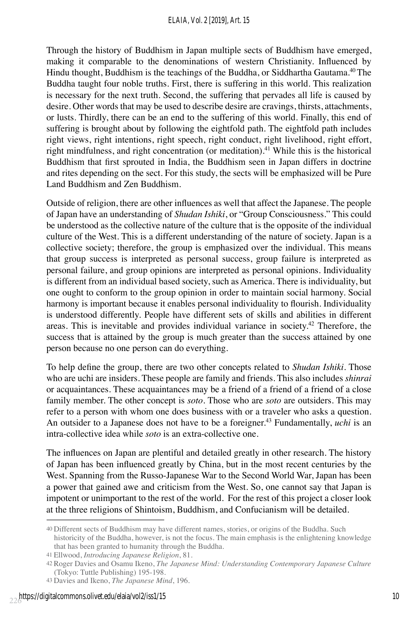Through the history of Buddhism in Japan multiple sects of Buddhism have emerged, making it comparable to the denominations of western Christianity. Influenced by Hindu thought, Buddhism is the teachings of the Buddha, or Siddhartha Gautama.<sup>40</sup>The Buddha taught four noble truths. First, there is suffering in this world. This realization is necessary for the next truth. Second, the suffering that pervades all life is caused by desire. Other words that may be used to describe desire are cravings, thirsts, attachments, or lusts. Thirdly, there can be an end to the suffering of this world. Finally, this end of suffering is brought about by following the eightfold path. The eightfold path includes right views, right intentions, right speech, right conduct, right livelihood, right effort, right mindfulness, and right concentration (or meditation).<sup>41</sup> While this is the historical Buddhism that first sprouted in India, the Buddhism seen in Japan differs in doctrine and rites depending on the sect. For this study, the sects will be emphasized will be Pure Land Buddhism and Zen Buddhism.

Outside of religion, there are other influences as well that affect the Japanese. The people of Japan have an understanding of *Shudan Ishiki*, or "Group Consciousness." This could be understood as the collective nature of the culture that is the opposite of the individual culture of the West. This is a different understanding of the nature of society. Japan is a collective society; therefore, the group is emphasized over the individual. This means that group success is interpreted as personal success, group failure is interpreted as personal failure, and group opinions are interpreted as personal opinions. Individuality is different from an individual based society, such as America. There is individuality, but one ought to conform to the group opinion in order to maintain social harmony. Social harmony is important because it enables personal individuality to flourish. Individuality is understood differently. People have different sets of skills and abilities in different areas. This is inevitable and provides individual variance in society.<sup>42</sup> Therefore, the success that is attained by the group is much greater than the success attained by one person because no one person can do everything.

To help define the group, there are two other concepts related to *Shudan Ishiki*. Those who are uchi are insiders. These people are family and friends. This also includes *shinrai*  or acquaintances. These acquaintances may be a friend of a friend of a friend of a close family member. The other concept is *soto*. Those who are *soto* are outsiders. This may refer to a person with whom one does business with or a traveler who asks a question. An outsider to a Japanese does not have to be a foreigner.<sup>43</sup> Fundamentally, *uchi* is an intra-collective idea while *soto* is an extra-collective one.

The influences on Japan are plentiful and detailed greatly in other research. The history of Japan has been influenced greatly by China, but in the most recent centuries by the West. Spanning from the Russo-Japanese War to the Second World War, Japan has been a power that gained awe and criticism from the West. So, one cannot say that Japan is impotent or unimportant to the rest of the world. For the rest of this project a closer look at the three religions of Shintoism, Buddhism, and Confucianism will be detailed.

<sup>40</sup> Different sects of Buddhism may have different names, stories, or origins of the Buddha. Such historicity of the Buddha, however, is not the focus. The main emphasis is the enlightening knowledge that has been granted to humanity through the Buddha.

<sup>41</sup> Ellwood, *Introducing Japanese Religion*, 81.

<sup>42</sup> Roger Davies and Osamu Ikeno, *The Japanese Mind: Understanding Contemporary Japanese Culture* (Tokyo: Tuttle Publishing) 195-198.

<sup>43</sup> Davies and Ikeno, *The Japanese Mind*, 196.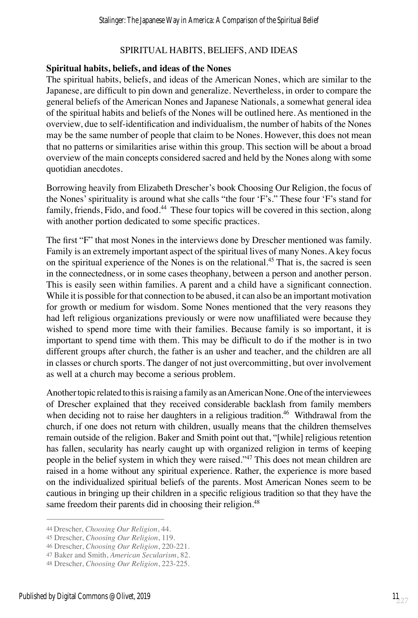# SPIRITUAL HABITS, BELIEFS, AND IDEAS

#### **Spiritual habits, beliefs, and ideas of the Nones**

The spiritual habits, beliefs, and ideas of the American Nones, which are similar to the Japanese, are difficult to pin down and generalize. Nevertheless, in order to compare the general beliefs of the American Nones and Japanese Nationals, a somewhat general idea of the spiritual habits and beliefs of the Nones will be outlined here. As mentioned in the overview, due to self-identification and individualism, the number of habits of the Nones may be the same number of people that claim to be Nones. However, this does not mean that no patterns or similarities arise within this group. This section will be about a broad overview of the main concepts considered sacred and held by the Nones along with some quotidian anecdotes.

Borrowing heavily from Elizabeth Drescher's book Choosing Our Religion, the focus of the Nones' spirituality is around what she calls "the four 'F's." These four 'F's stand for family, friends, Fido, and food.<sup>44</sup> These four topics will be covered in this section, along with another portion dedicated to some specific practices.

The first "F" that most Nones in the interviews done by Drescher mentioned was family. Family is an extremely important aspect of the spiritual lives of many Nones. A key focus on the spiritual experience of the Nones is on the relational.<sup>45</sup> That is, the sacred is seen in the connectedness, or in some cases theophany, between a person and another person. This is easily seen within families. A parent and a child have a significant connection. While it is possible for that connection to be abused, it can also be an important motivation for growth or medium for wisdom. Some Nones mentioned that the very reasons they had left religious organizations previously or were now unaffiliated were because they wished to spend more time with their families. Because family is so important, it is important to spend time with them. This may be difficult to do if the mother is in two different groups after church, the father is an usher and teacher, and the children are all in classes or church sports. The danger of not just overcommitting, but over involvement as well at a church may become a serious problem.

Another topic related to this is raising a family as an American None. One of the interviewees of Drescher explained that they received considerable backlash from family members when deciding not to raise her daughters in a religious tradition.<sup>46</sup> Withdrawal from the church, if one does not return with children, usually means that the children themselves remain outside of the religion. Baker and Smith point out that, "[while] religious retention has fallen, secularity has nearly caught up with organized religion in terms of keeping people in the belief system in which they were raised."<sup>47</sup> This does not mean children are raised in a home without any spiritual experience. Rather, the experience is more based on the individualized spiritual beliefs of the parents. Most American Nones seem to be cautious in bringing up their children in a specific religious tradition so that they have the same freedom their parents did in choosing their religion.<sup>48</sup>

46 Drescher, *Choosing Our Religion*, 220-221.

<sup>44</sup> Drescher, *Choosing Our Religion*, 44.

<sup>45</sup> Drescher, *Choosing Our Religion*, 119.

<sup>47</sup> Baker and Smith, *American Secularism*, 82.

<sup>48</sup> Drescher, *Choosing Our Religion*, 223-225.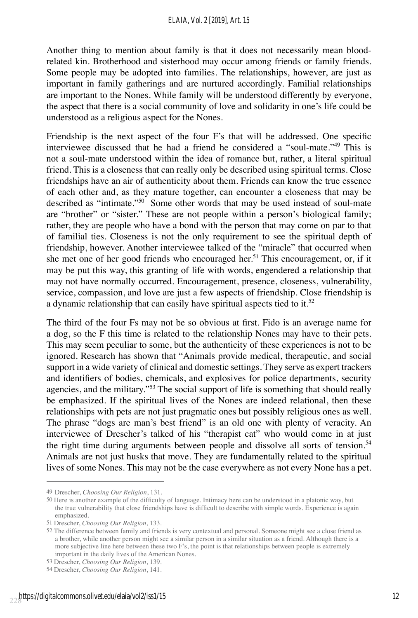Another thing to mention about family is that it does not necessarily mean bloodrelated kin. Brotherhood and sisterhood may occur among friends or family friends. Some people may be adopted into families. The relationships, however, are just as important in family gatherings and are nurtured accordingly. Familial relationships are important to the Nones. While family will be understood differently by everyone, the aspect that there is a social community of love and solidarity in one's life could be understood as a religious aspect for the Nones.

Friendship is the next aspect of the four F's that will be addressed. One specific interviewee discussed that he had a friend he considered a "soul-mate."<sup>49</sup> This is not a soul-mate understood within the idea of romance but, rather, a literal spiritual friend. This is a closeness that can really only be described using spiritual terms. Close friendships have an air of authenticity about them. Friends can know the true essence of each other and, as they mature together, can encounter a closeness that may be described as "intimate."<sup>50</sup> Some other words that may be used instead of soul-mate are "brother" or "sister." These are not people within a person's biological family; rather, they are people who have a bond with the person that may come on par to that of familial ties. Closeness is not the only requirement to see the spiritual depth of friendship, however. Another interviewee talked of the "miracle" that occurred when she met one of her good friends who encouraged her.<sup>51</sup> This encouragement, or, if it may be put this way, this granting of life with words, engendered a relationship that may not have normally occurred. Encouragement, presence, closeness, vulnerability, service, compassion, and love are just a few aspects of friendship. Close friendship is a dynamic relationship that can easily have spiritual aspects tied to it.<sup>52</sup>

The third of the four Fs may not be so obvious at first. Fido is an average name for a dog, so the F this time is related to the relationship Nones may have to their pets. This may seem peculiar to some, but the authenticity of these experiences is not to be ignored. Research has shown that "Animals provide medical, therapeutic, and social support in a wide variety of clinical and domestic settings. They serve as expert trackers and identifiers of bodies, chemicals, and explosives for police departments, security agencies, and the military."53 The social support of life is something that should really be emphasized. If the spiritual lives of the Nones are indeed relational, then these relationships with pets are not just pragmatic ones but possibly religious ones as well. The phrase "dogs are man's best friend" is an old one with plenty of veracity. An interviewee of Drescher's talked of his "therapist cat" who would come in at just the right time during arguments between people and dissolve all sorts of tension.<sup>54</sup> Animals are not just husks that move. They are fundamentally related to the spiritual lives of some Nones. This may not be the case everywhere as not every None has a pet.

<sup>49</sup> Drescher, *Choosing Our Religion*, 131.

<sup>50</sup> Here is another example of the difficulty of language. Intimacy here can be understood in a platonic way, but the true vulnerability that close friendships have is difficult to describe with simple words. Experience is again emphasized.

<sup>51</sup> Drescher, *Choosing Our Religion*, 133.

<sup>52</sup> The difference between family and friends is very contextual and personal. Someone might see a close friend as a brother, while another person might see a similar person in a similar situation as a friend. Although there is a more subjective line here between these two F's, the point is that relationships between people is extremely important in the daily lives of the American Nones.

<sup>53</sup> Drescher, *Choosing Our Religion*, 139.

<sup>54</sup> Drescher, *Choosing Our Religion*, 141.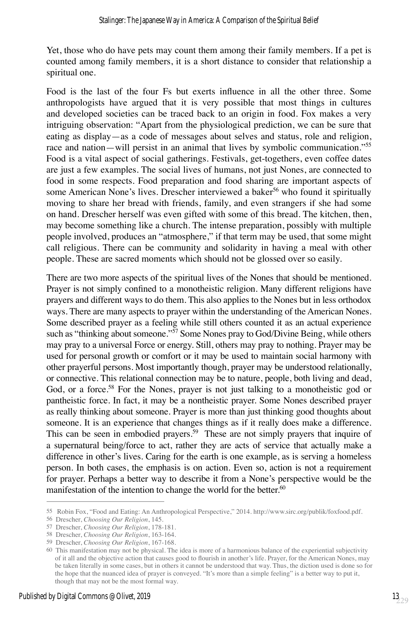Yet, those who do have pets may count them among their family members. If a pet is counted among family members, it is a short distance to consider that relationship a spiritual one.

Food is the last of the four Fs but exerts influence in all the other three. Some anthropologists have argued that it is very possible that most things in cultures and developed societies can be traced back to an origin in food. Fox makes a very intriguing observation: "Apart from the physiological prediction, we can be sure that eating as display—as a code of messages about selves and status, role and religion, race and nation—will persist in an animal that lives by symbolic communication."<sup>55</sup> Food is a vital aspect of social gatherings. Festivals, get-togethers, even coffee dates are just a few examples. The social lives of humans, not just Nones, are connected to food in some respects. Food preparation and food sharing are important aspects of some American None's lives. Drescher interviewed a baker<sup>56</sup> who found it spiritually moving to share her bread with friends, family, and even strangers if she had some on hand. Drescher herself was even gifted with some of this bread. The kitchen, then, may become something like a church. The intense preparation, possibly with multiple people involved, produces an "atmosphere," if that term may be used, that some might call religious. There can be community and solidarity in having a meal with other people. These are sacred moments which should not be glossed over so easily.

There are two more aspects of the spiritual lives of the Nones that should be mentioned. Prayer is not simply confined to a monotheistic religion. Many different religions have prayers and different ways to do them. This also applies to the Nones but in less orthodox ways. There are many aspects to prayer within the understanding of the American Nones. Some described prayer as a feeling while still others counted it as an actual experience such as "thinking about someone."<sup>57</sup> Some Nones pray to God/Divine Being, while others may pray to a universal Force or energy. Still, others may pray to nothing. Prayer may be used for personal growth or comfort or it may be used to maintain social harmony with other prayerful persons. Most importantly though, prayer may be understood relationally, or connective. This relational connection may be to nature, people, both living and dead, God, or a force.<sup>58</sup> For the Nones, prayer is not just talking to a monotheistic god or pantheistic force. In fact, it may be a nontheistic prayer. Some Nones described prayer as really thinking about someone. Prayer is more than just thinking good thoughts about someone. It is an experience that changes things as if it really does make a difference. This can be seen in embodied prayers.<sup>59</sup> These are not simply prayers that inquire of a supernatural being/force to act, rather they are acts of service that actually make a difference in other's lives. Caring for the earth is one example, as is serving a homeless person. In both cases, the emphasis is on action. Even so, action is not a requirement for prayer. Perhaps a better way to describe it from a None's perspective would be the manifestation of the intention to change the world for the better.<sup>60</sup>

<sup>55</sup> Robin Fox, "Food and Eating: An Anthropological Perspective," 2014. http://www.sirc.org/publik/foxfood.pdf.

<sup>56</sup> Drescher, *Choosing Our Religion*, 145.

<sup>57</sup> Drescher, *Choosing Our Religion*, 178-181.

<sup>58</sup> Drescher, *Choosing Our Religion*, 163-164.

<sup>59</sup> Drescher, *Choosing Our Religion*, 167-168.

<sup>60</sup> This manifestation may not be physical. The idea is more of a harmonious balance of the experiential subjectivity of it all and the objective action that causes good to flourish in another's life. Prayer, for the American Nones, may be taken literally in some cases, but in others it cannot be understood that way. Thus, the diction used is done so for the hope that the nuanced idea of prayer is conveyed. "It's more than a simple feeling" is a better way to put it, though that may not be the most formal way.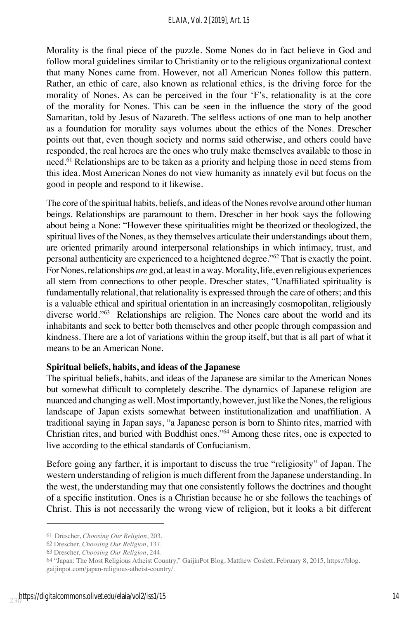Morality is the final piece of the puzzle. Some Nones do in fact believe in God and follow moral guidelines similar to Christianity or to the religious organizational context that many Nones came from. However, not all American Nones follow this pattern. Rather, an ethic of care, also known as relational ethics, is the driving force for the morality of Nones. As can be perceived in the four 'F's, relationality is at the core of the morality for Nones. This can be seen in the influence the story of the good Samaritan, told by Jesus of Nazareth. The selfless actions of one man to help another as a foundation for morality says volumes about the ethics of the Nones. Drescher points out that, even though society and norms said otherwise, and others could have responded, the real heroes are the ones who truly make themselves available to those in need.<sup>61</sup> Relationships are to be taken as a priority and helping those in need stems from this idea. Most American Nones do not view humanity as innately evil but focus on the good in people and respond to it likewise.

The core of the spiritual habits, beliefs, and ideas of the Nones revolve around other human beings. Relationships are paramount to them. Drescher in her book says the following about being a None: "However these spiritualities might be theorized or theologized, the spiritual lives of the Nones, as they themselves articulate their understandings about them, are oriented primarily around interpersonal relationships in which intimacy, trust, and personal authenticity are experienced to a heightened degree." $62$  That is exactly the point. For Nones, relationships *are* god, at least in a way. Morality, life, even religious experiences all stem from connections to other people. Drescher states, "Unaffiliated spirituality is fundamentally relational, that relationality is expressed through the care of others; and this is a valuable ethical and spiritual orientation in an increasingly cosmopolitan, religiously diverse world."63 Relationships are religion. The Nones care about the world and its inhabitants and seek to better both themselves and other people through compassion and kindness. There are a lot of variations within the group itself, but that is all part of what it means to be an American None.

#### **Spiritual beliefs, habits, and ideas of the Japanese**

The spiritual beliefs, habits, and ideas of the Japanese are similar to the American Nones but somewhat difficult to completely describe. The dynamics of Japanese religion are nuanced and changing as well. Most importantly, however, just like the Nones, the religious landscape of Japan exists somewhat between institutionalization and unaffiliation. A traditional saying in Japan says, "a Japanese person is born to Shinto rites, married with Christian rites, and buried with Buddhist ones."<sup>64</sup> Among these rites, one is expected to live according to the ethical standards of Confucianism.

Before going any farther, it is important to discuss the true "religiosity" of Japan. The western understanding of religion is much different from the Japanese understanding. In the west, the understanding may that one consistently follows the doctrines and thought of a specific institution. Ones is a Christian because he or she follows the teachings of Christ. This is not necessarily the wrong view of religion, but it looks a bit different

<sup>61</sup> Drescher, *Choosing Our Religion*, 203.

<sup>62</sup> Drescher, *Choosing Our Religion*, 137.

<sup>63</sup> Drescher, *Choosing Our Religion*, 244.

<sup>64</sup> "Japan: The Most Religious Atheist Country," GaijinPot Blog, Matthew Coslett, February 8, 2015, https://blog. gaijinpot.com/japan-religious-atheist-country/.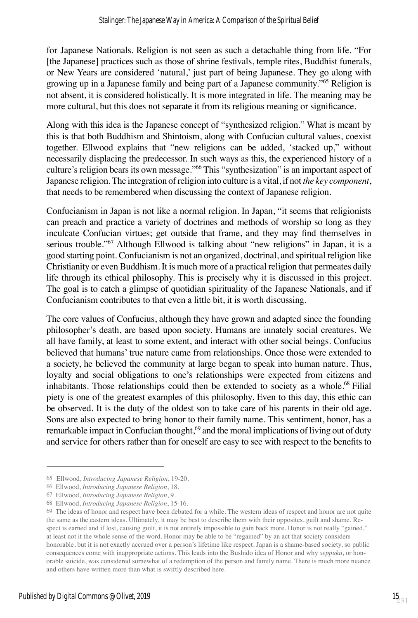for Japanese Nationals. Religion is not seen as such a detachable thing from life. "For [the Japanese] practices such as those of shrine festivals, temple rites, Buddhist funerals, or New Years are considered 'natural,' just part of being Japanese. They go along with growing up in a Japanese family and being part of a Japanese community.<sup>765</sup> Religion is not absent, it is considered holistically. It is more integrated in life. The meaning may be more cultural, but this does not separate it from its religious meaning or significance.

Along with this idea is the Japanese concept of "synthesized religion." What is meant by this is that both Buddhism and Shintoism, along with Confucian cultural values, coexist together. Ellwood explains that "new religions can be added, 'stacked up," without necessarily displacing the predecessor. In such ways as this, the experienced history of a culture's religion bears its own message."66 This "synthesization" is an important aspect of Japanese religion. The integration of religion into culture is a vital, if not *the key component*, that needs to be remembered when discussing the context of Japanese religion.

Confucianism in Japan is not like a normal religion. In Japan, "it seems that religionists can preach and practice a variety of doctrines and methods of worship so long as they inculcate Confucian virtues; get outside that frame, and they may find themselves in serious trouble."67 Although Ellwood is talking about "new religions" in Japan, it is a good starting point. Confucianism is not an organized, doctrinal, and spiritual religion like Christianity or even Buddhism. It is much more of a practical religion that permeates daily life through its ethical philosophy. This is precisely why it is discussed in this project. The goal is to catch a glimpse of quotidian spirituality of the Japanese Nationals, and if Confucianism contributes to that even a little bit, it is worth discussing.

The core values of Confucius, although they have grown and adapted since the founding philosopher's death, are based upon society. Humans are innately social creatures. We all have family, at least to some extent, and interact with other social beings. Confucius believed that humans' true nature came from relationships. Once those were extended to a society, he believed the community at large began to speak into human nature. Thus, loyalty and social obligations to one's relationships were expected from citizens and inhabitants. Those relationships could then be extended to society as a whole.<sup>68</sup> Filial piety is one of the greatest examples of this philosophy. Even to this day, this ethic can be observed. It is the duty of the oldest son to take care of his parents in their old age. Sons are also expected to bring honor to their family name. This sentiment, honor, has a remarkable impact in Confucian thought,<sup>69</sup> and the moral implications of living out of duty and service for others rather than for oneself are easy to see with respect to the benefits to

<sup>65</sup> Ellwood, *Introducing Japanese Religion*, 19-20.

<sup>66</sup> Ellwood, *Introducing Japanese Religion*, 18.

<sup>67</sup> Ellwood, *Introducing Japanese Religion*, 9.

<sup>68</sup> Ellwood, *Introducing Japanese Religion*, 15-16.

<sup>69</sup> The ideas of honor and respect have been debated for a while. The western ideas of respect and honor are not quite the same as the eastern ideas. Ultimately, it may be best to describe them with their opposites, guilt and shame. Respect is earned and if lost, causing guilt, it is not entirely impossible to gain back more. Honor is not really "gained," at least not it the whole sense of the word. Honor may be able to be "regained" by an act that society considers honorable, but it is not exactly accrued over a person's lifetime like respect. Japan is a shame-based society, so public consequences come with inappropriate actions. This leads into the Bushido idea of Honor and why *seppuku*, or honorable suicide, was considered somewhat of a redemption of the person and family name. There is much more nuance and others have written more than what is swiftly described here.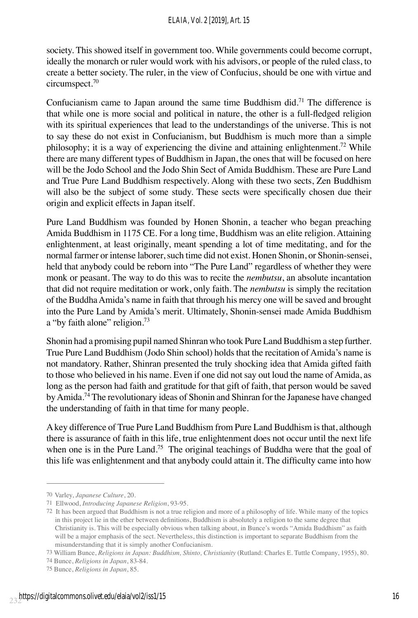society. This showed itself in government too. While governments could become corrupt, ideally the monarch or ruler would work with his advisors, or people of the ruled class, to create a better society. The ruler, in the view of Confucius, should be one with virtue and circumspect.70

Confucianism came to Japan around the same time Buddhism did.<sup>71</sup> The difference is that while one is more social and political in nature, the other is a full-fledged religion with its spiritual experiences that lead to the understandings of the universe. This is not to say these do not exist in Confucianism, but Buddhism is much more than a simple philosophy; it is a way of experiencing the divine and attaining enlightenment.<sup>72</sup> While there are many different types of Buddhism in Japan, the ones that will be focused on here will be the Jodo School and the Jodo Shin Sect of Amida Buddhism. These are Pure Land and True Pure Land Buddhism respectively. Along with these two sects, Zen Buddhism will also be the subject of some study. These sects were specifically chosen due their origin and explicit effects in Japan itself.

Pure Land Buddhism was founded by Honen Shonin, a teacher who began preaching Amida Buddhism in 1175 CE. For a long time, Buddhism was an elite religion. Attaining enlightenment, at least originally, meant spending a lot of time meditating, and for the normal farmer or intense laborer, such time did not exist. Honen Shonin, or Shonin-sensei, held that anybody could be reborn into "The Pure Land" regardless of whether they were monk or peasant. The way to do this was to recite the *nembutsu*, an absolute incantation that did not require meditation or work, only faith. The *nembutsu* is simply the recitation of the Buddha Amida's name in faith that through his mercy one will be saved and brought into the Pure Land by Amida's merit. Ultimately, Shonin-sensei made Amida Buddhism a "by faith alone" religion.<sup>73</sup>

Shonin had a promising pupil named Shinran who took Pure Land Buddhism a step further. True Pure Land Buddhism (Jodo Shin school) holds that the recitation of Amida's name is not mandatory. Rather, Shinran presented the truly shocking idea that Amida gifted faith to those who believed in his name. Even if one did not say out loud the name of Amida, as long as the person had faith and gratitude for that gift of faith, that person would be saved by Amida.<sup>74</sup> The revolutionary ideas of Shonin and Shinran for the Japanese have changed the understanding of faith in that time for many people.

A key difference of True Pure Land Buddhism from Pure Land Buddhism is that, although there is assurance of faith in this life, true enlightenment does not occur until the next life when one is in the Pure Land.<sup>75</sup> The original teachings of Buddha were that the goal of this life was enlightenment and that anybody could attain it. The difficulty came into how

<sup>70</sup> Varley, *Japanese Culture*, 20.

<sup>71</sup> Ellwood, *Introducing Japanese Religion*, 93-95.

<sup>72</sup> It has been argued that Buddhism is not a true religion and more of a philosophy of life. While many of the topics in this project lie in the ether between definitions, Buddhism is absolutely a religion to the same degree that Christianity is. This will be especially obvious when talking about, in Bunce's words "Amida Buddhism" as faith will be a major emphasis of the sect. Nevertheless, this distinction is important to separate Buddhism from the misunderstanding that it is simply another Confucianism.

<sup>73</sup> William Bunce, *Religions in Japan: Buddhism, Shinto, Christianity* (Rutland: Charles E. Tuttle Company, 1955), 80.

<sup>74</sup> Bunce, *Religions in Japan*, 83-84.

<sup>75</sup> Bunce, *Religions in Japan*, 85.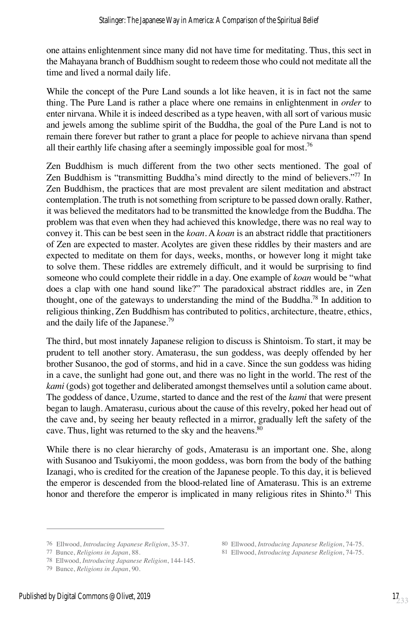one attains enlightenment since many did not have time for meditating. Thus, this sect in the Mahayana branch of Buddhism sought to redeem those who could not meditate all the time and lived a normal daily life.

While the concept of the Pure Land sounds a lot like heaven, it is in fact not the same thing. The Pure Land is rather a place where one remains in enlightenment in *order* to enter nirvana. While it is indeed described as a type heaven, with all sort of various music and jewels among the sublime spirit of the Buddha, the goal of the Pure Land is not to remain there forever but rather to grant a place for people to achieve nirvana than spend all their earthly life chasing after a seemingly impossible goal for most.<sup>76</sup>

Zen Buddhism is much different from the two other sects mentioned. The goal of Zen Buddhism is "transmitting Buddha's mind directly to the mind of believers."77 In Zen Buddhism, the practices that are most prevalent are silent meditation and abstract contemplation. The truth is not something from scripture to be passed down orally. Rather, it was believed the meditators had to be transmitted the knowledge from the Buddha. The problem was that even when they had achieved this knowledge, there was no real way to convey it. This can be best seen in the *koan*. A *koan* is an abstract riddle that practitioners of Zen are expected to master. Acolytes are given these riddles by their masters and are expected to meditate on them for days, weeks, months, or however long it might take to solve them. These riddles are extremely difficult, and it would be surprising to find someone who could complete their riddle in a day. One example of *koan* would be "what does a clap with one hand sound like?" The paradoxical abstract riddles are, in Zen thought, one of the gateways to understanding the mind of the Buddha.<sup>78</sup> In addition to religious thinking, Zen Buddhism has contributed to politics, architecture, theatre, ethics, and the daily life of the Japanese.79

The third, but most innately Japanese religion to discuss is Shintoism. To start, it may be prudent to tell another story. Amaterasu, the sun goddess, was deeply offended by her brother Susanoo, the god of storms, and hid in a cave. Since the sun goddess was hiding in a cave, the sunlight had gone out, and there was no light in the world. The rest of the *kami* (gods) got together and deliberated amongst themselves until a solution came about. The goddess of dance, Uzume, started to dance and the rest of the *kami* that were present began to laugh. Amaterasu, curious about the cause of this revelry, poked her head out of the cave and, by seeing her beauty reflected in a mirror, gradually left the safety of the cave. Thus, light was returned to the sky and the heavens.<sup>80</sup>

While there is no clear hierarchy of gods, Amaterasu is an important one. She, along with Susanoo and Tsukiyomi, the moon goddess, was born from the body of the bathing Izanagi, who is credited for the creation of the Japanese people. To this day, it is believed the emperor is descended from the blood-related line of Amaterasu. This is an extreme honor and therefore the emperor is implicated in many religious rites in Shinto.<sup>81</sup> This

<sup>76</sup> Ellwood, *Introducing Japanese Religion*, 35-37. 80 Ellwood, *Introducing Japanese Religion*, 74-75.

<sup>78</sup> Ellwood, *Introducing Japanese Religion*, 144-145.

<sup>79</sup> Bunce, *Religions in Japan*, 90.

<sup>77</sup> Bunce, *Religions in Japan*, 88. 81 Ellwood, *Introducing Japanese Religion*, 74-75.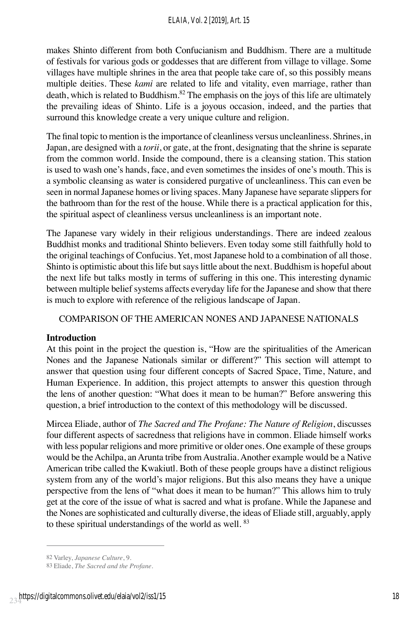makes Shinto different from both Confucianism and Buddhism. There are a multitude of festivals for various gods or goddesses that are different from village to village. Some villages have multiple shrines in the area that people take care of, so this possibly means multiple deities. These *kami* are related to life and vitality, even marriage, rather than death, which is related to Buddhism.<sup>82</sup> The emphasis on the joys of this life are ultimately the prevailing ideas of Shinto. Life is a joyous occasion, indeed, and the parties that surround this knowledge create a very unique culture and religion.

The final topic to mention is the importance of cleanliness versus uncleanliness. Shrines, in Japan, are designed with a *torii*, or gate, at the front, designating that the shrine is separate from the common world. Inside the compound, there is a cleansing station. This station is used to wash one's hands, face, and even sometimes the insides of one's mouth. This is a symbolic cleansing as water is considered purgative of uncleanliness. This can even be seen in normal Japanese homes or living spaces. Many Japanese have separate slippers for the bathroom than for the rest of the house. While there is a practical application for this, the spiritual aspect of cleanliness versus uncleanliness is an important note.

The Japanese vary widely in their religious understandings. There are indeed zealous Buddhist monks and traditional Shinto believers. Even today some still faithfully hold to the original teachings of Confucius. Yet, most Japanese hold to a combination of all those. Shinto is optimistic about this life but says little about the next. Buddhism is hopeful about the next life but talks mostly in terms of suffering in this one. This interesting dynamic between multiple belief systems affects everyday life for the Japanese and show that there is much to explore with reference of the religious landscape of Japan.

# COMPARISON OF THE AMERICAN NONES AND JAPANESE NATIONALS

#### **Introduction**

At this point in the project the question is, "How are the spiritualities of the American Nones and the Japanese Nationals similar or different?" This section will attempt to answer that question using four different concepts of Sacred Space, Time, Nature, and Human Experience. In addition, this project attempts to answer this question through the lens of another question: "What does it mean to be human?" Before answering this question, a brief introduction to the context of this methodology will be discussed.

Mircea Eliade, author of *The Sacred and The Profane: The Nature of Religion*, discusses four different aspects of sacredness that religions have in common. Eliade himself works with less popular religions and more primitive or older ones. One example of these groups would be the Achilpa, an Arunta tribe from Australia. Another example would be a Native American tribe called the Kwakiutl. Both of these people groups have a distinct religious system from any of the world's major religions. But this also means they have a unique perspective from the lens of "what does it mean to be human?" This allows him to truly get at the core of the issue of what is sacred and what is profane. While the Japanese and the Nones are sophisticated and culturally diverse, the ideas of Eliade still, arguably, apply to these spiritual understandings of the world as well.<sup>83</sup>

<sup>82</sup> Varley, *Japanese Culture*, 9.

<sup>83</sup> Eliade, *The Sacred and the Profane*.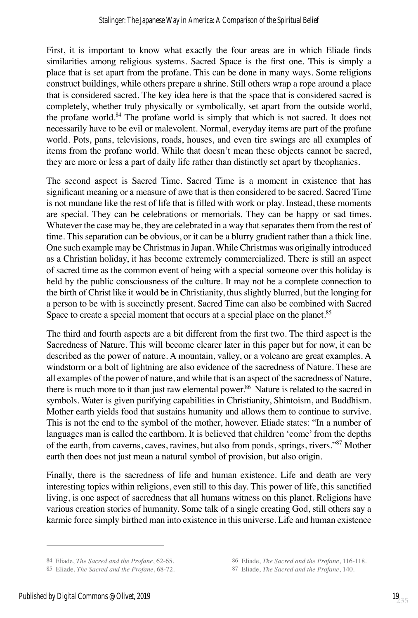First, it is important to know what exactly the four areas are in which Eliade finds similarities among religious systems. Sacred Space is the first one. This is simply a place that is set apart from the profane. This can be done in many ways. Some religions construct buildings, while others prepare a shrine. Still others wrap a rope around a place that is considered sacred. The key idea here is that the space that is considered sacred is completely, whether truly physically or symbolically, set apart from the outside world, the profane world.<sup>84</sup> The profane world is simply that which is not sacred. It does not necessarily have to be evil or malevolent. Normal, everyday items are part of the profane world. Pots, pans, televisions, roads, houses, and even tire swings are all examples of items from the profane world. While that doesn't mean these objects cannot be sacred, they are more or less a part of daily life rather than distinctly set apart by theophanies.

The second aspect is Sacred Time. Sacred Time is a moment in existence that has significant meaning or a measure of awe that is then considered to be sacred. Sacred Time is not mundane like the rest of life that is filled with work or play. Instead, these moments are special. They can be celebrations or memorials. They can be happy or sad times. Whatever the case may be, they are celebrated in a way that separates them from the rest of time. This separation can be obvious, or it can be a blurry gradient rather than a thick line. One such example may be Christmas in Japan. While Christmas was originally introduced as a Christian holiday, it has become extremely commercialized. There is still an aspect of sacred time as the common event of being with a special someone over this holiday is held by the public consciousness of the culture. It may not be a complete connection to the birth of Christ like it would be in Christianity, thus slightly blurred, but the longing for a person to be with is succinctly present. Sacred Time can also be combined with Sacred Space to create a special moment that occurs at a special place on the planet.<sup>85</sup>

The third and fourth aspects are a bit different from the first two. The third aspect is the Sacredness of Nature. This will become clearer later in this paper but for now, it can be described as the power of nature. A mountain, valley, or a volcano are great examples. A windstorm or a bolt of lightning are also evidence of the sacredness of Nature. These are all examples of the power of nature, and while that is an aspect of the sacredness of Nature, there is much more to it than just raw elemental power.<sup>86</sup> Nature is related to the sacred in symbols. Water is given purifying capabilities in Christianity, Shintoism, and Buddhism. Mother earth yields food that sustains humanity and allows them to continue to survive. This is not the end to the symbol of the mother, however. Eliade states: "In a number of languages man is called the earthborn. It is believed that children 'come' from the depths of the earth, from caverns, caves, ravines, but also from ponds, springs, rivers."87 Mother earth then does not just mean a natural symbol of provision, but also origin.

Finally, there is the sacredness of life and human existence. Life and death are very interesting topics within religions, even still to this day. This power of life, this sanctified living, is one aspect of sacredness that all humans witness on this planet. Religions have various creation stories of humanity. Some talk of a single creating God, still others say a karmic force simply birthed man into existence in this universe. Life and human existence

<sup>85</sup> Eliade, *The Sacred and the Profane*, 68-72. 87 Eliade, *The Sacred and the Profane*, 140.

<sup>84</sup> Eliade, *The Sacred and the Profane*, 62-65. 86 Eliade, *The Sacred and the Profane*, 116-118.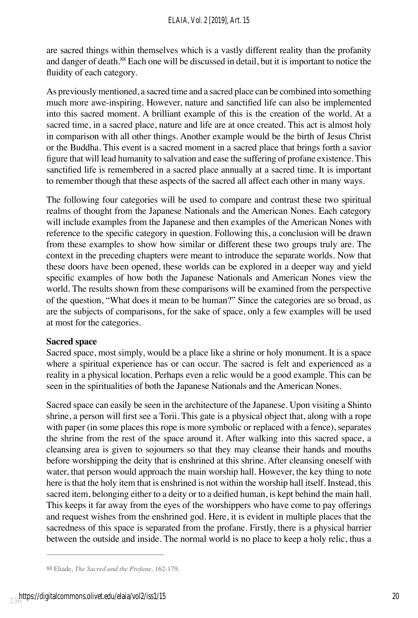are sacred things within themselves which is a vastly different reality than the profanity and danger of death.<sup>88</sup> Each one will be discussed in detail, but it is important to notice the fluidity of each category.

As previously mentioned, a sacred time and a sacred place can be combined into something much more awe-inspiring. However, nature and sanctified life can also be implemented into this sacred moment. A brilliant example of this is the creation of the world. At a sacred time, in a sacred place, nature and life are at once created. This act is almost holy in comparison with all other things. Another example would be the birth of Jesus Christ or the Buddha. This event is a sacred moment in a sacred place that brings forth a savior figure that will lead humanity to salvation and ease the suffering of profane existence. This sanctified life is remembered in a sacred place annually at a sacred time. It is important to remember though that these aspects of the sacred all affect each other in many ways.

The following four categories will be used to compare and contrast these two spiritual realms of thought from the Japanese Nationals and the American Nones. Each category will include examples from the Japanese and then examples of the American Nones with reference to the specific category in question. Following this, a conclusion will be drawn from these examples to show how similar or different these two groups truly are. The context in the preceding chapters were meant to introduce the separate worlds. Now that these doors have been opened, these worlds can be explored in a deeper way and yield specific examples of how both the Japanese Nationals and American Nones view the world. The results shown from these comparisons will be examined from the perspective of the question, "What does it mean to be human?" Since the categories are so broad, as are the subjects of comparisons, for the sake of space, only a few examples will be used at most for the categories.

#### **Sacred space**

Sacred space, most simply, would be a place like a shrine or holy monument. It is a space where a spiritual experience has or can occur. The sacred is felt and experienced as a reality in a physical location. Perhaps even a relic would be a good example. This can be seen in the spiritualities of both the Japanese Nationals and the American Nones.

Sacred space can easily be seen in the architecture of the Japanese. Upon visiting a Shinto shrine, a person will first see a Torii. This gate is a physical object that, along with a rope with paper (in some places this rope is more symbolic or replaced with a fence), separates the shrine from the rest of the space around it. After walking into this sacred space, a cleansing area is given to sojourners so that they may cleanse their hands and mouths before worshipping the deity that is enshrined at this shrine. After cleansing oneself with water, that person would approach the main worship hall. However, the key thing to note here is that the holy item that is enshrined is not within the worship hall itself. Instead, this sacred item, belonging either to a deity or to a deified human, is kept behind the main hall. This keeps it far away from the eyes of the worshippers who have come to pay offerings and request wishes from the enshrined god. Here, it is evident in multiple places that the sacredness of this space is separated from the profane. Firstly, there is a physical barrier between the outside and inside. The normal world is no place to keep a holy relic, thus a

<sup>88</sup> Eliade, *The Sacred and the Profane,* 162-179.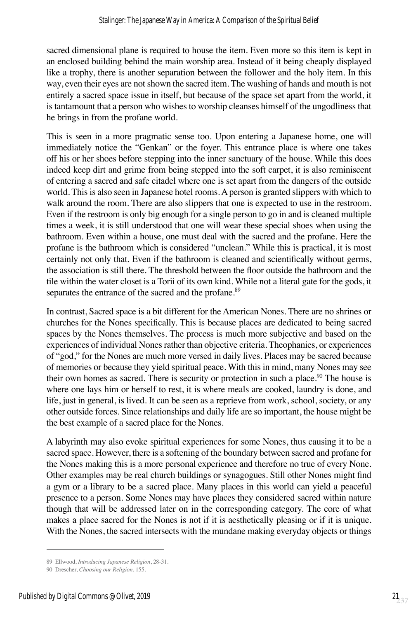sacred dimensional plane is required to house the item. Even more so this item is kept in an enclosed building behind the main worship area. Instead of it being cheaply displayed like a trophy, there is another separation between the follower and the holy item. In this way, even their eyes are not shown the sacred item. The washing of hands and mouth is not entirely a sacred space issue in itself, but because of the space set apart from the world, it is tantamount that a person who wishes to worship cleanses himself of the ungodliness that he brings in from the profane world.

This is seen in a more pragmatic sense too. Upon entering a Japanese home, one will immediately notice the "Genkan" or the foyer. This entrance place is where one takes off his or her shoes before stepping into the inner sanctuary of the house. While this does indeed keep dirt and grime from being stepped into the soft carpet, it is also reminiscent of entering a sacred and safe citadel where one is set apart from the dangers of the outside world. This is also seen in Japanese hotel rooms. A person is granted slippers with which to walk around the room. There are also slippers that one is expected to use in the restroom. Even if the restroom is only big enough for a single person to go in and is cleaned multiple times a week, it is still understood that one will wear these special shoes when using the bathroom. Even within a house, one must deal with the sacred and the profane. Here the profane is the bathroom which is considered "unclean." While this is practical, it is most certainly not only that. Even if the bathroom is cleaned and scientifically without germs, the association is still there. The threshold between the floor outside the bathroom and the tile within the water closet is a Torii of its own kind. While not a literal gate for the gods, it separates the entrance of the sacred and the profane.<sup>89</sup>

In contrast, Sacred space is a bit different for the American Nones. There are no shrines or churches for the Nones specifically. This is because places are dedicated to being sacred spaces by the Nones themselves. The process is much more subjective and based on the experiences of individual Nones rather than objective criteria. Theophanies, or experiences of "god," for the Nones are much more versed in daily lives. Places may be sacred because of memories or because they yield spiritual peace. With this in mind, many Nones may see their own homes as sacred. There is security or protection in such a place.<sup>90</sup> The house is where one lays him or herself to rest, it is where meals are cooked, laundry is done, and life, just in general, is lived. It can be seen as a reprieve from work, school, society, or any other outside forces. Since relationships and daily life are so important, the house might be the best example of a sacred place for the Nones.

A labyrinth may also evoke spiritual experiences for some Nones, thus causing it to be a sacred space. However, there is a softening of the boundary between sacred and profane for the Nones making this is a more personal experience and therefore no true of every None. Other examples may be real church buildings or synagogues. Still other Nones might find a gym or a library to be a sacred place. Many places in this world can yield a peaceful presence to a person. Some Nones may have places they considered sacred within nature though that will be addressed later on in the corresponding category. The core of what makes a place sacred for the Nones is not if it is aesthetically pleasing or if it is unique. With the Nones, the sacred intersects with the mundane making everyday objects or things

<sup>89</sup> Ellwood, *Introducing Japanese Religion*, 28-31.

<sup>90</sup> Drescher, *Choosing our Religion*, 155.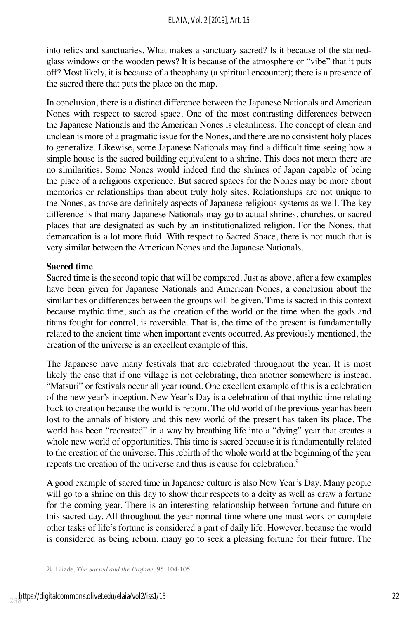into relics and sanctuaries. What makes a sanctuary sacred? Is it because of the stainedglass windows or the wooden pews? It is because of the atmosphere or "vibe" that it puts off? Most likely, it is because of a theophany (a spiritual encounter); there is a presence of the sacred there that puts the place on the map.

In conclusion, there is a distinct difference between the Japanese Nationals and American Nones with respect to sacred space. One of the most contrasting differences between the Japanese Nationals and the American Nones is cleanliness. The concept of clean and unclean is more of a pragmatic issue for the Nones, and there are no consistent holy places to generalize. Likewise, some Japanese Nationals may find a difficult time seeing how a simple house is the sacred building equivalent to a shrine. This does not mean there are no similarities. Some Nones would indeed find the shrines of Japan capable of being the place of a religious experience. But sacred spaces for the Nones may be more about memories or relationships than about truly holy sites. Relationships are not unique to the Nones, as those are definitely aspects of Japanese religious systems as well. The key difference is that many Japanese Nationals may go to actual shrines, churches, or sacred places that are designated as such by an institutionalized religion. For the Nones, that demarcation is a lot more fluid. With respect to Sacred Space, there is not much that is very similar between the American Nones and the Japanese Nationals.

## **Sacred time**

Sacred time is the second topic that will be compared. Just as above, after a few examples have been given for Japanese Nationals and American Nones, a conclusion about the similarities or differences between the groups will be given. Time is sacred in this context because mythic time, such as the creation of the world or the time when the gods and titans fought for control, is reversible. That is, the time of the present is fundamentally related to the ancient time when important events occurred. As previously mentioned, the creation of the universe is an excellent example of this.

The Japanese have many festivals that are celebrated throughout the year. It is most likely the case that if one village is not celebrating, then another somewhere is instead. "Matsuri" or festivals occur all year round. One excellent example of this is a celebration of the new year's inception. New Year's Day is a celebration of that mythic time relating back to creation because the world is reborn. The old world of the previous year has been lost to the annals of history and this new world of the present has taken its place. The world has been "recreated" in a way by breathing life into a "dying" year that creates a whole new world of opportunities. This time is sacred because it is fundamentally related to the creation of the universe. This rebirth of the whole world at the beginning of the year repeats the creation of the universe and thus is cause for celebration.<sup>91</sup>

A good example of sacred time in Japanese culture is also New Year's Day. Many people will go to a shrine on this day to show their respects to a deity as well as draw a fortune for the coming year. There is an interesting relationship between fortune and future on this sacred day. All throughout the year normal time where one must work or complete other tasks of life's fortune is considered a part of daily life. However, because the world is considered as being reborn, many go to seek a pleasing fortune for their future. The

<sup>91</sup> Eliade, *The Sacred and the Profane*, 95, 104-105.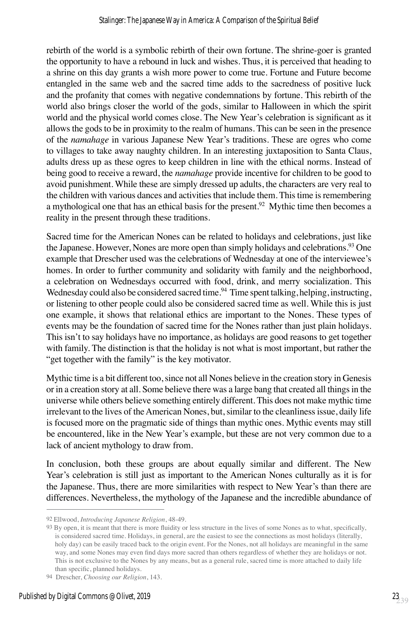rebirth of the world is a symbolic rebirth of their own fortune. The shrine-goer is granted the opportunity to have a rebound in luck and wishes. Thus, it is perceived that heading to a shrine on this day grants a wish more power to come true. Fortune and Future become entangled in the same web and the sacred time adds to the sacredness of positive luck and the profanity that comes with negative condemnations by fortune. This rebirth of the world also brings closer the world of the gods, similar to Halloween in which the spirit world and the physical world comes close. The New Year's celebration is significant as it allows the gods to be in proximity to the realm of humans. This can be seen in the presence of the *namahage* in various Japanese New Year's traditions. These are ogres who come to villages to take away naughty children. In an interesting juxtaposition to Santa Claus, adults dress up as these ogres to keep children in line with the ethical norms. Instead of being good to receive a reward, the *namahage* provide incentive for children to be good to avoid punishment. While these are simply dressed up adults, the characters are very real to the children with various dances and activities that include them. This time is remembering a mythological one that has an ethical basis for the present.<sup>92</sup> Mythic time then becomes a reality in the present through these traditions.

Sacred time for the American Nones can be related to holidays and celebrations, just like the Japanese. However, Nones are more open than simply holidays and celebrations.<sup>93</sup> One example that Drescher used was the celebrations of Wednesday at one of the interviewee's homes. In order to further community and solidarity with family and the neighborhood, a celebration on Wednesdays occurred with food, drink, and merry socialization. This Wednesday could also be considered sacred time.<sup>94</sup> Time spent talking, helping, instructing, or listening to other people could also be considered sacred time as well. While this is just one example, it shows that relational ethics are important to the Nones. These types of events may be the foundation of sacred time for the Nones rather than just plain holidays. This isn't to say holidays have no importance, as holidays are good reasons to get together with family. The distinction is that the holiday is not what is most important, but rather the "get together with the family" is the key motivator.

Mythic time is a bit different too, since not all Nones believe in the creation story in Genesis or in a creation story at all. Some believe there was a large bang that created all things in the universe while others believe something entirely different. This does not make mythic time irrelevant to the lives of the American Nones, but, similar to the cleanliness issue, daily life is focused more on the pragmatic side of things than mythic ones. Mythic events may still be encountered, like in the New Year's example, but these are not very common due to a lack of ancient mythology to draw from.

In conclusion, both these groups are about equally similar and different. The New Year's celebration is still just as important to the American Nones culturally as it is for the Japanese. Thus, there are more similarities with respect to New Year's than there are differences. Nevertheless, the mythology of the Japanese and the incredible abundance of

<sup>92</sup> Ellwood, *Introducing Japanese Religion*, 48-49.

<sup>93</sup> By open, it is meant that there is more fluidity or less structure in the lives of some Nones as to what, specifically, is considered sacred time. Holidays, in general, are the easiest to see the connections as most holidays (literally, holy day) can be easily traced back to the origin event. For the Nones, not all holidays are meaningful in the same way, and some Nones may even find days more sacred than others regardless of whether they are holidays or not. This is not exclusive to the Nones by any means, but as a general rule, sacred time is more attached to daily life than specific, planned holidays.

<sup>94</sup> Drescher, *Choosing our Religion*, 143.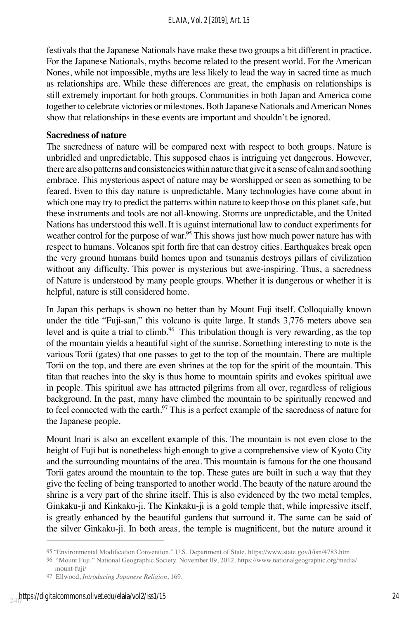festivals that the Japanese Nationals have make these two groups a bit different in practice. For the Japanese Nationals, myths become related to the present world. For the American Nones, while not impossible, myths are less likely to lead the way in sacred time as much as relationships are. While these differences are great, the emphasis on relationships is still extremely important for both groups. Communities in both Japan and America come together to celebrate victories or milestones. Both Japanese Nationals and American Nones show that relationships in these events are important and shouldn't be ignored.

## **Sacredness of nature**

The sacredness of nature will be compared next with respect to both groups. Nature is unbridled and unpredictable. This supposed chaos is intriguing yet dangerous. However, there are also patterns and consistencies within nature that give it a sense of calm and soothing embrace. This mysterious aspect of nature may be worshipped or seen as something to be feared. Even to this day nature is unpredictable. Many technologies have come about in which one may try to predict the patterns within nature to keep those on this planet safe, but these instruments and tools are not all-knowing. Storms are unpredictable, and the United Nations has understood this well. It is against international law to conduct experiments for weather control for the purpose of war.<sup>95</sup> This shows just how much power nature has with respect to humans. Volcanos spit forth fire that can destroy cities. Earthquakes break open the very ground humans build homes upon and tsunamis destroys pillars of civilization without any difficulty. This power is mysterious but awe-inspiring. Thus, a sacredness of Nature is understood by many people groups. Whether it is dangerous or whether it is helpful, nature is still considered home.

In Japan this perhaps is shown no better than by Mount Fuji itself. Colloquially known under the title "Fuji-san," this volcano is quite large. It stands 3,776 meters above sea level and is quite a trial to climb.<sup>96</sup> This tribulation though is very rewarding, as the top of the mountain yields a beautiful sight of the sunrise. Something interesting to note is the various Torii (gates) that one passes to get to the top of the mountain. There are multiple Torii on the top, and there are even shrines at the top for the spirit of the mountain. This titan that reaches into the sky is thus home to mountain spirits and evokes spiritual awe in people. This spiritual awe has attracted pilgrims from all over, regardless of religious background. In the past, many have climbed the mountain to be spiritually renewed and to feel connected with the earth.<sup>97</sup> This is a perfect example of the sacredness of nature for the Japanese people.

Mount Inari is also an excellent example of this. The mountain is not even close to the height of Fuji but is nonetheless high enough to give a comprehensive view of Kyoto City and the surrounding mountains of the area. This mountain is famous for the one thousand Torii gates around the mountain to the top. These gates are built in such a way that they give the feeling of being transported to another world. The beauty of the nature around the shrine is a very part of the shrine itself. This is also evidenced by the two metal temples, Ginkaku-ji and Kinkaku-ji. The Kinkaku-ji is a gold temple that, while impressive itself, is greatly enhanced by the beautiful gardens that surround it. The same can be said of the silver Ginkaku-ji. In both areas, the temple is magnificent, but the nature around it

<sup>95</sup> "Environmental Modification Convention." U.S. Department of State. https://www.state.gov/t/isn/4783.htm

<sup>96 &</sup>quot;Mount Fuji." National Geographic Society. November 09, 2012. https://www.nationalgeographic.org/media/

mount-fuji/ 97 Ellwood, *Introducing Japanese Religion*, 169.

 $_{24}$ https://digitalcommons.olivet.edu/elaia/vol2/iss1/15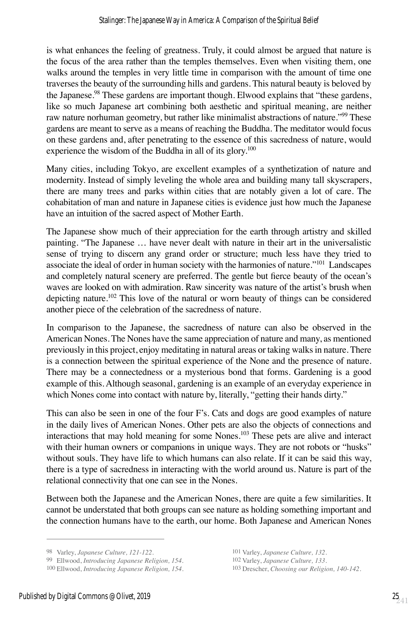is what enhances the feeling of greatness. Truly, it could almost be argued that nature is the focus of the area rather than the temples themselves. Even when visiting them, one walks around the temples in very little time in comparison with the amount of time one traverses the beauty of the surrounding hills and gardens. This natural beauty is beloved by the Japanese.<sup>98</sup> These gardens are important though. Elwood explains that "these gardens, like so much Japanese art combining both aesthetic and spiritual meaning, are neither raw nature norhuman geometry, but rather like minimalist abstractions of nature."<sup>99</sup> These gardens are meant to serve as a means of reaching the Buddha. The meditator would focus on these gardens and, after penetrating to the essence of this sacredness of nature, would experience the wisdom of the Buddha in all of its glory.<sup>100</sup>

Many cities, including Tokyo, are excellent examples of a synthetization of nature and modernity. Instead of simply leveling the whole area and building many tall skyscrapers, there are many trees and parks within cities that are notably given a lot of care. The cohabitation of man and nature in Japanese cities is evidence just how much the Japanese have an intuition of the sacred aspect of Mother Earth.

The Japanese show much of their appreciation for the earth through artistry and skilled painting. "The Japanese … have never dealt with nature in their art in the universalistic sense of trying to discern any grand order or structure; much less have they tried to associate the ideal of order in human society with the harmonies of nature."101 Landscapes and completely natural scenery are preferred. The gentle but fierce beauty of the ocean's waves are looked on with admiration. Raw sincerity was nature of the artist's brush when depicting nature.102 This love of the natural or worn beauty of things can be considered another piece of the celebration of the sacredness of nature.

In comparison to the Japanese, the sacredness of nature can also be observed in the American Nones. The Nones have the same appreciation of nature and many, as mentioned previously in this project, enjoy meditating in natural areas or taking walks in nature. There is a connection between the spiritual experience of the None and the presence of nature. There may be a connectedness or a mysterious bond that forms. Gardening is a good example of this. Although seasonal, gardening is an example of an everyday experience in which Nones come into contact with nature by, literally, "getting their hands dirty."

This can also be seen in one of the four F's. Cats and dogs are good examples of nature in the daily lives of American Nones. Other pets are also the objects of connections and interactions that may hold meaning for some Nones.103 These pets are alive and interact with their human owners or companions in unique ways. They are not robots or "husks" without souls. They have life to which humans can also relate. If it can be said this way, there is a type of sacredness in interacting with the world around us. Nature is part of the relational connectivity that one can see in the Nones.

Between both the Japanese and the American Nones, there are quite a few similarities. It cannot be understated that both groups can see nature as holding something important and the connection humans have to the earth, our home. Both Japanese and American Nones

98 Varley, *Japanese Culture, 121-122.* 101 Varley, *Japanese Culture, 132.*

<sup>99</sup> Ellwood, *Introducing Japanese Religion*, 154.

<sup>100</sup> Ellwood, *Introducing Japanese Religion, 154.* 103 Drescher, *Choosing our Religion, 140-142.*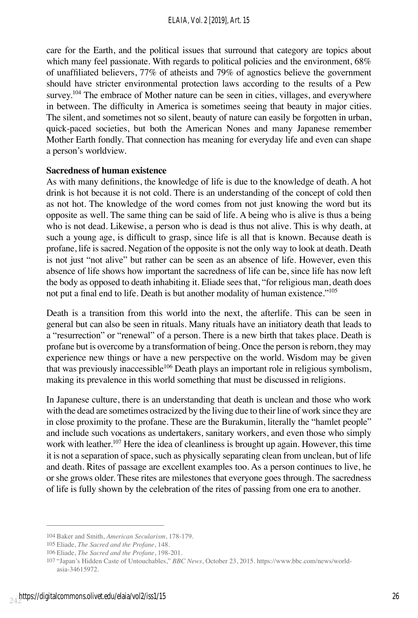care for the Earth, and the political issues that surround that category are topics about which many feel passionate. With regards to political policies and the environment, 68% of unaffiliated believers, 77% of atheists and 79% of agnostics believe the government should have stricter environmental protection laws according to the results of a Pew survey.<sup>104</sup> The embrace of Mother nature can be seen in cities, villages, and everywhere in between. The difficulty in America is sometimes seeing that beauty in major cities. The silent, and sometimes not so silent, beauty of nature can easily be forgotten in urban, quick-paced societies, but both the American Nones and many Japanese remember Mother Earth fondly. That connection has meaning for everyday life and even can shape a person's worldview.

#### **Sacredness of human existence**

As with many definitions, the knowledge of life is due to the knowledge of death. A hot drink is hot because it is not cold. There is an understanding of the concept of cold then as not hot. The knowledge of the word comes from not just knowing the word but its opposite as well. The same thing can be said of life. A being who is alive is thus a being who is not dead. Likewise, a person who is dead is thus not alive. This is why death, at such a young age, is difficult to grasp, since life is all that is known. Because death is profane, life is sacred. Negation of the opposite is not the only way to look at death. Death is not just "not alive" but rather can be seen as an absence of life. However, even this absence of life shows how important the sacredness of life can be, since life has now left the body as opposed to death inhabiting it. Eliade sees that, "for religious man, death does not put a final end to life. Death is but another modality of human existence."<sup>105</sup>

Death is a transition from this world into the next, the afterlife. This can be seen in general but can also be seen in rituals. Many rituals have an initiatory death that leads to a "resurrection" or "renewal" of a person. There is a new birth that takes place. Death is profane but is overcome by a transformation of being. Once the person is reborn, they may experience new things or have a new perspective on the world. Wisdom may be given that was previously inaccessible<sup>106</sup> Death plays an important role in religious symbolism, making its prevalence in this world something that must be discussed in religions.

In Japanese culture, there is an understanding that death is unclean and those who work with the dead are sometimes ostracized by the living due to their line of work since they are in close proximity to the profane. These are the Burakumin, literally the "hamlet people" and include such vocations as undertakers, sanitary workers, and even those who simply work with leather.<sup>107</sup> Here the idea of cleanliness is brought up again. However, this time it is not a separation of space, such as physically separating clean from unclean, but of life and death. Rites of passage are excellent examples too. As a person continues to live, he or she grows older. These rites are milestones that everyone goes through. The sacredness of life is fully shown by the celebration of the rites of passing from one era to another.

<sup>104</sup> Baker and Smith, *American Secularism*, 178-179.

<sup>105</sup> Eliade, *The Sacred and the Profane*, 148.

<sup>106</sup> Eliade, *The Sacred and the Profane*, 198-201.

<sup>107 &</sup>quot;Japan's Hidden Caste of Untouchables," *BBC News*, October 23, 2015. https://www.bbc.com/news/world asia-34615972.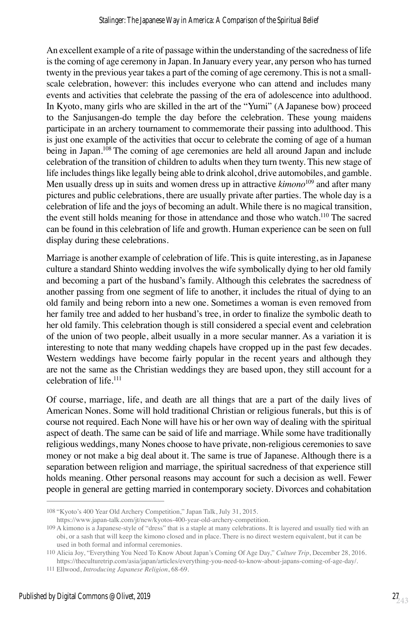An excellent example of a rite of passage within the understanding of the sacredness of life is the coming of age ceremony in Japan. In January every year, any person who has turned twenty in the previous year takes a part of the coming of age ceremony. This is not a smallscale celebration, however: this includes everyone who can attend and includes many events and activities that celebrate the passing of the era of adolescence into adulthood. In Kyoto, many girls who are skilled in the art of the "Yumi" (A Japanese bow) proceed to the Sanjusangen-do temple the day before the celebration. These young maidens participate in an archery tournament to commemorate their passing into adulthood. This is just one example of the activities that occur to celebrate the coming of age of a human being in Japan.<sup>108</sup> The coming of age ceremonies are held all around Japan and include celebration of the transition of children to adults when they turn twenty. This new stage of life includes things like legally being able to drink alcohol, drive automobiles, and gamble. Men usually dress up in suits and women dress up in attractive *kimono*<sup>109</sup> and after many pictures and public celebrations, there are usually private after parties. The whole day is a celebration of life and the joys of becoming an adult. While there is no magical transition, the event still holds meaning for those in attendance and those who watch.<sup>110</sup> The sacred can be found in this celebration of life and growth. Human experience can be seen on full display during these celebrations.

Marriage is another example of celebration of life. This is quite interesting, as in Japanese culture a standard Shinto wedding involves the wife symbolically dying to her old family and becoming a part of the husband's family. Although this celebrates the sacredness of another passing from one segment of life to another, it includes the ritual of dying to an old family and being reborn into a new one. Sometimes a woman is even removed from her family tree and added to her husband's tree, in order to finalize the symbolic death to her old family. This celebration though is still considered a special event and celebration of the union of two people, albeit usually in a more secular manner. As a variation it is interesting to note that many wedding chapels have cropped up in the past few decades. Western weddings have become fairly popular in the recent years and although they are not the same as the Christian weddings they are based upon, they still account for a celebration of life.111

Of course, marriage, life, and death are all things that are a part of the daily lives of American Nones. Some will hold traditional Christian or religious funerals, but this is of course not required. Each None will have his or her own way of dealing with the spiritual aspect of death. The same can be said of life and marriage. While some have traditionally religious weddings, many Nones choose to have private, non-religious ceremonies to save money or not make a big deal about it. The same is true of Japanese. Although there is a separation between religion and marriage, the spiritual sacredness of that experience still holds meaning. Other personal reasons may account for such a decision as well. Fewer people in general are getting married in contemporary society. Divorces and cohabitation

<sup>108</sup> "Kyoto's 400 Year Old Archery Competition," Japan Talk, July 31, 2015.

https://www.japan-talk.com/jt/new/kyotos-400-year-old-archery-competition.

<sup>109</sup> A kimono is a Japanese-style of "dress" that is a staple at many celebrations. It is layered and usually tied with an obi, or a sash that will keep the kimono closed and in place. There is no direct western equivalent, but it can be used in both formal and informal ceremonies.

<sup>110</sup> Alicia Joy, "Everything You Need To Know About Japan's Coming Of Age Day," *Culture Trip*, December 28, 2016. https://theculturetrip.com/asia/japan/articles/everything-you-need-to-know-about-japans-coming-of-age-day/.

<sup>111</sup> Ellwood, *Introducing Japanese Religion*, 68-69.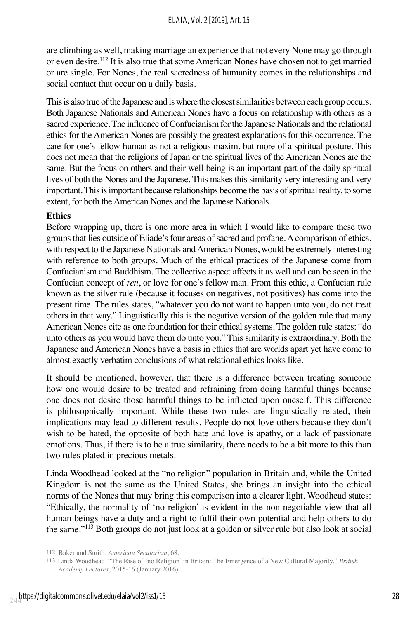are climbing as well, making marriage an experience that not every None may go through or even desire.112 It is also true that some American Nones have chosen not to get married or are single. For Nones, the real sacredness of humanity comes in the relationships and social contact that occur on a daily basis.

This is also true of the Japanese and is where the closest similarities between each group occurs. Both Japanese Nationals and American Nones have a focus on relationship with others as a sacred experience. The influence of Confucianism for the Japanese Nationals and the relational ethics for the American Nones are possibly the greatest explanations for this occurrence. The care for one's fellow human as not a religious maxim, but more of a spiritual posture. This does not mean that the religions of Japan or the spiritual lives of the American Nones are the same. But the focus on others and their well-being is an important part of the daily spiritual lives of both the Nones and the Japanese. This makes this similarity very interesting and very important. This is important because relationships become the basis of spiritual reality, to some extent, for both the American Nones and the Japanese Nationals.

## **Ethics**

Before wrapping up, there is one more area in which I would like to compare these two groups that lies outside of Eliade's four areas of sacred and profane. A comparison of ethics, with respect to the Japanese Nationals and American Nones, would be extremely interesting with reference to both groups. Much of the ethical practices of the Japanese come from Confucianism and Buddhism. The collective aspect affects it as well and can be seen in the Confucian concept of *ren*, or love for one's fellow man. From this ethic, a Confucian rule known as the silver rule (because it focuses on negatives, not positives) has come into the present time. The rules states, "whatever you do not want to happen unto you, do not treat others in that way." Linguistically this is the negative version of the golden rule that many American Nones cite as one foundation for their ethical systems. The golden rule states: "do unto others as you would have them do unto you." This similarity is extraordinary. Both the Japanese and American Nones have a basis in ethics that are worlds apart yet have come to almost exactly verbatim conclusions of what relational ethics looks like.

It should be mentioned, however, that there is a difference between treating someone how one would desire to be treated and refraining from doing harmful things because one does not desire those harmful things to be inflicted upon oneself. This difference is philosophically important. While these two rules are linguistically related, their implications may lead to different results. People do not love others because they don't wish to be hated, the opposite of both hate and love is apathy, or a lack of passionate emotions. Thus, if there is to be a true similarity, there needs to be a bit more to this than two rules plated in precious metals.

Linda Woodhead looked at the "no religion" population in Britain and, while the United Kingdom is not the same as the United States, she brings an insight into the ethical norms of the Nones that may bring this comparison into a clearer light. Woodhead states: "Ethically, the normality of 'no religion' is evident in the non-negotiable view that all human beings have a duty and a right to fulfil their own potential and help others to do the same."<sup>113</sup> Both groups do not just look at a golden or silver rule but also look at social

<sup>112</sup> Baker and Smith, *American Secularism*, 68.

<sup>113</sup> Linda Woodhead. "The Rise of 'no Religion' in Britain: The Emergence of a New Cultural Majority." *British Academy Lectures*, 2015-16 (January 2016).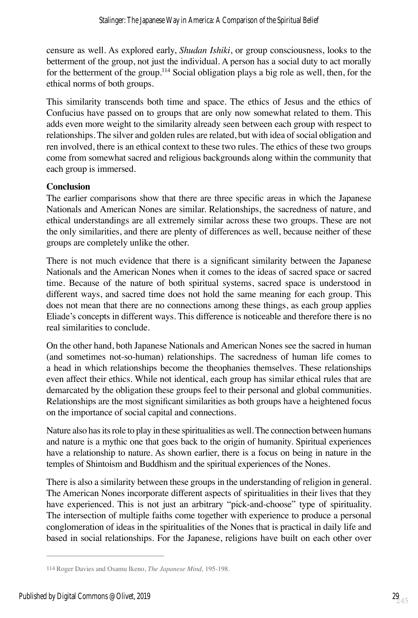censure as well. As explored early, *Shudan Ishiki*, or group consciousness, looks to the betterment of the group, not just the individual. A person has a social duty to act morally for the betterment of the group.<sup>114</sup> Social obligation plays a big role as well, then, for the ethical norms of both groups.

This similarity transcends both time and space. The ethics of Jesus and the ethics of Confucius have passed on to groups that are only now somewhat related to them. This adds even more weight to the similarity already seen between each group with respect to relationships. The silver and golden rules are related, but with idea of social obligation and ren involved, there is an ethical context to these two rules. The ethics of these two groups come from somewhat sacred and religious backgrounds along within the community that each group is immersed.

## **Conclusion**

The earlier comparisons show that there are three specific areas in which the Japanese Nationals and American Nones are similar. Relationships, the sacredness of nature, and ethical understandings are all extremely similar across these two groups. These are not the only similarities, and there are plenty of differences as well, because neither of these groups are completely unlike the other.

There is not much evidence that there is a significant similarity between the Japanese Nationals and the American Nones when it comes to the ideas of sacred space or sacred time. Because of the nature of both spiritual systems, sacred space is understood in different ways, and sacred time does not hold the same meaning for each group. This does not mean that there are no connections among these things, as each group applies Eliade's concepts in different ways. This difference is noticeable and therefore there is no real similarities to conclude.

On the other hand, both Japanese Nationals and American Nones see the sacred in human (and sometimes not-so-human) relationships. The sacredness of human life comes to a head in which relationships become the theophanies themselves. These relationships even affect their ethics. While not identical, each group has similar ethical rules that are demarcated by the obligation these groups feel to their personal and global communities. Relationships are the most significant similarities as both groups have a heightened focus on the importance of social capital and connections.

Nature also has its role to play in these spiritualities as well. The connection between humans and nature is a mythic one that goes back to the origin of humanity. Spiritual experiences have a relationship to nature. As shown earlier, there is a focus on being in nature in the temples of Shintoism and Buddhism and the spiritual experiences of the Nones.

There is also a similarity between these groups in the understanding of religion in general. The American Nones incorporate different aspects of spiritualities in their lives that they have experienced. This is not just an arbitrary "pick-and-choose" type of spirituality. The intersection of multiple faiths come together with experience to produce a personal conglomeration of ideas in the spiritualities of the Nones that is practical in daily life and based in social relationships. For the Japanese, religions have built on each other over

<sup>114</sup> Roger Davies and Osamu Ikeno, *The Japanese Mind,* 195-198.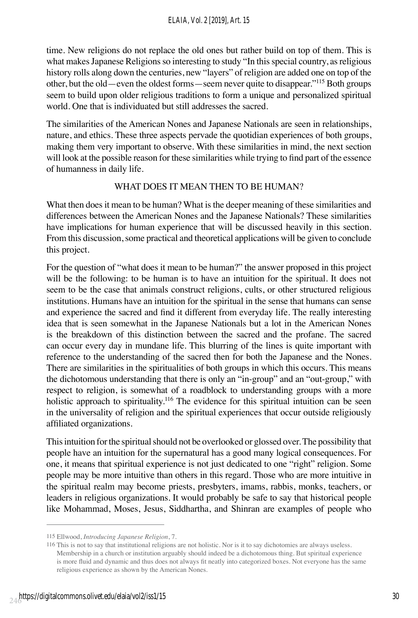time. New religions do not replace the old ones but rather build on top of them. This is what makes Japanese Religions so interesting to study "In this special country, as religious history rolls along down the centuries, new "layers" of religion are added one on top of the other, but the old—even the oldest forms—seem never quite to disappear."<sup>115</sup> Both groups seem to build upon older religious traditions to form a unique and personalized spiritual world. One that is individuated but still addresses the sacred.

The similarities of the American Nones and Japanese Nationals are seen in relationships, nature, and ethics. These three aspects pervade the quotidian experiences of both groups, making them very important to observe. With these similarities in mind, the next section will look at the possible reason for these similarities while trying to find part of the essence of humanness in daily life.

# WHAT DOES IT MEAN THEN TO BE HUMAN?

What then does it mean to be human? What is the deeper meaning of these similarities and differences between the American Nones and the Japanese Nationals? These similarities have implications for human experience that will be discussed heavily in this section. From this discussion, some practical and theoretical applications will be given to conclude this project.

For the question of "what does it mean to be human?" the answer proposed in this project will be the following: to be human is to have an intuition for the spiritual. It does not seem to be the case that animals construct religions, cults, or other structured religious institutions. Humans have an intuition for the spiritual in the sense that humans can sense and experience the sacred and find it different from everyday life. The really interesting idea that is seen somewhat in the Japanese Nationals but a lot in the American Nones is the breakdown of this distinction between the sacred and the profane. The sacred can occur every day in mundane life. This blurring of the lines is quite important with reference to the understanding of the sacred then for both the Japanese and the Nones. There are similarities in the spiritualities of both groups in which this occurs. This means the dichotomous understanding that there is only an "in-group" and an "out-group," with respect to religion, is somewhat of a roadblock to understanding groups with a more holistic approach to spirituality.<sup>116</sup> The evidence for this spiritual intuition can be seen in the universality of religion and the spiritual experiences that occur outside religiously affiliated organizations.

This intuition for the spiritual should not be overlooked or glossed over. The possibility that people have an intuition for the supernatural has a good many logical consequences. For one, it means that spiritual experience is not just dedicated to one "right" religion. Some people may be more intuitive than others in this regard. Those who are more intuitive in the spiritual realm may become priests, presbyters, imams, rabbis, monks, teachers, or leaders in religious organizations. It would probably be safe to say that historical people like Mohammad, Moses, Jesus, Siddhartha, and Shinran are examples of people who

<sup>115</sup> Ellwood, *Introducing Japanese Religion*, 7.

<sup>116</sup> This is not to say that institutional religions are not holistic. Nor is it to say dichotomies are always useless. Membership in a church or institution arguably should indeed be a dichotomous thing. But spiritual experience is more fluid and dynamic and thus does not always fit neatly into categorized boxes. Not everyone has the same religious experience as shown by the American Nones.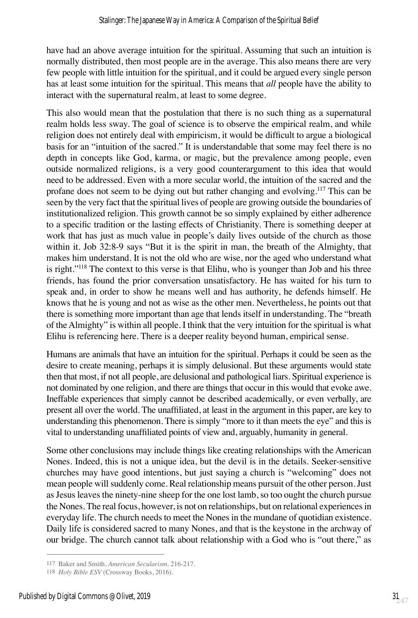have had an above average intuition for the spiritual. Assuming that such an intuition is normally distributed, then most people are in the average. This also means there are very few people with little intuition for the spiritual, and it could be argued every single person has at least some intuition for the spiritual. This means that *all* people have the ability to interact with the supernatural realm, at least to some degree.

This also would mean that the postulation that there is no such thing as a supernatural realm holds less sway. The goal of science is to observe the empirical realm, and while religion does not entirely deal with empiricism, it would be difficult to argue a biological basis for an "intuition of the sacred." It is understandable that some may feel there is no depth in concepts like God, karma, or magic, but the prevalence among people, even outside normalized religions, is a very good counterargument to this idea that would need to be addressed. Even with a more secular world, the intuition of the sacred and the profane does not seem to be dying out but rather changing and evolving.<sup>117</sup> This can be seen by the very fact that the spiritual lives of people are growing outside the boundaries of institutionalized religion. This growth cannot be so simply explained by either adherence to a specific tradition or the lasting effects of Christianity. There is something deeper at work that has just as much value in people's daily lives outside of the church as those within it. Job 32:8-9 says "But it is the spirit in man, the breath of the Almighty, that makes him understand. It is not the old who are wise, nor the aged who understand what is right."118 The context to this verse is that Elihu, who is younger than Job and his three friends, has found the prior conversation unsatisfactory. He has waited for his turn to speak and, in order to show he means well and has authority, he defends himself. He knows that he is young and not as wise as the other men. Nevertheless, he points out that there is something more important than age that lends itself in understanding. The "breath of the Almighty" is within all people. I think that the very intuition for the spiritual is what Elihu is referencing here. There is a deeper reality beyond human, empirical sense.

Humans are animals that have an intuition for the spiritual. Perhaps it could be seen as the desire to create meaning, perhaps it is simply delusional. But these arguments would state then that most, if not all people, are delusional and pathological liars. Spiritual experience is not dominated by one religion, and there are things that occur in this would that evoke awe. Ineffable experiences that simply cannot be described academically, or even verbally, are present all over the world. The unaffiliated, at least in the argument in this paper, are key to understanding this phenomenon. There is simply "more to it than meets the eye" and this is vital to understanding unaffiliated points of view and, arguably, humanity in general.

Some other conclusions may include things like creating relationships with the American Nones. Indeed, this is not a unique idea, but the devil is in the details. Seeker-sensitive churches may have good intentions, but just saying a church is "welcoming" does not mean people will suddenly come. Real relationship means pursuit of the other person. Just as Jesus leaves the ninety-nine sheep for the one lost lamb, so too ought the church pursue the Nones. The real focus, however, is not on relationships, but on relational experiences in everyday life. The church needs to meet the Nones in the mundane of quotidian existence. Daily life is considered sacred to many Nones, and that is the keystone in the archway of our bridge. The church cannot talk about relationship with a God who is "out there," as

<sup>117</sup> Baker and Smith, *American Secularism,* 216-217.

<sup>118</sup> *Holy Bible ESV* (Crossway Books, 2016).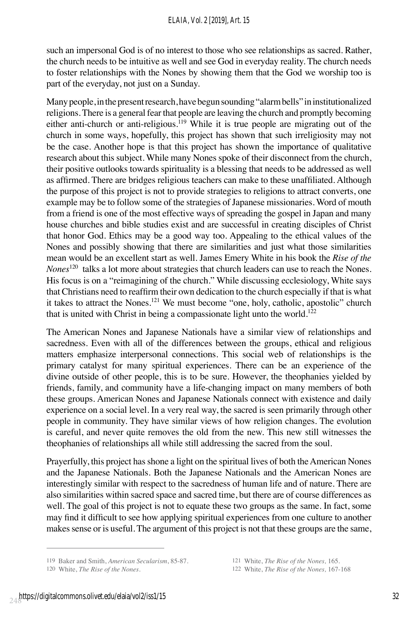such an impersonal God is of no interest to those who see relationships as sacred. Rather, the church needs to be intuitive as well and see God in everyday reality. The church needs to foster relationships with the Nones by showing them that the God we worship too is part of the everyday, not just on a Sunday.

Many people, in the present research, have begun sounding "alarm bells" in institutionalized religions. There is a general fear that people are leaving the church and promptly becoming either anti-church or anti-religious.<sup>119</sup> While it is true people are migrating out of the church in some ways, hopefully, this project has shown that such irreligiosity may not be the case. Another hope is that this project has shown the importance of qualitative research about this subject. While many Nones spoke of their disconnect from the church, their positive outlooks towards spirituality is a blessing that needs to be addressed as well as affirmed. There are bridges religious teachers can make to these unaffiliated. Although the purpose of this project is not to provide strategies to religions to attract converts, one example may be to follow some of the strategies of Japanese missionaries. Word of mouth from a friend is one of the most effective ways of spreading the gospel in Japan and many house churches and bible studies exist and are successful in creating disciples of Christ that honor God. Ethics may be a good way too. Appealing to the ethical values of the Nones and possibly showing that there are similarities and just what those similarities mean would be an excellent start as well. James Emery White in his book the *Rise of the Nones*<sup>120</sup> talks a lot more about strategies that church leaders can use to reach the Nones. His focus is on a "reimagining of the church." While discussing ecclesiology, White says that Christians need to reaffirm their own dedication to the church especially if that is what it takes to attract the Nones.<sup>121</sup> We must become "one, holy, catholic, apostolic" church that is united with Christ in being a compassionate light unto the world.<sup>122</sup>

The American Nones and Japanese Nationals have a similar view of relationships and sacredness. Even with all of the differences between the groups, ethical and religious matters emphasize interpersonal connections. This social web of relationships is the primary catalyst for many spiritual experiences. There can be an experience of the divine outside of other people, this is to be sure. However, the theophanies yielded by friends, family, and community have a life-changing impact on many members of both these groups. American Nones and Japanese Nationals connect with existence and daily experience on a social level. In a very real way, the sacred is seen primarily through other people in community. They have similar views of how religion changes. The evolution is careful, and never quite removes the old from the new. This new still witnesses the theophanies of relationships all while still addressing the sacred from the soul.

Prayerfully, this project has shone a light on the spiritual lives of both the American Nones and the Japanese Nationals. Both the Japanese Nationals and the American Nones are interestingly similar with respect to the sacredness of human life and of nature. There are also similarities within sacred space and sacred time, but there are of course differences as well. The goal of this project is not to equate these two groups as the same. In fact, some may find it difficult to see how applying spiritual experiences from one culture to another makes sense or is useful. The argument of this project is not that these groups are the same,

<sup>119</sup> Baker and Smith, *American Secularism*, 85-87. 121 White, *The Rise of the Nones,* 165.

<sup>120</sup> White, *The Rise of the Nones*. 122 White, *The Rise of the Nones,* 167-168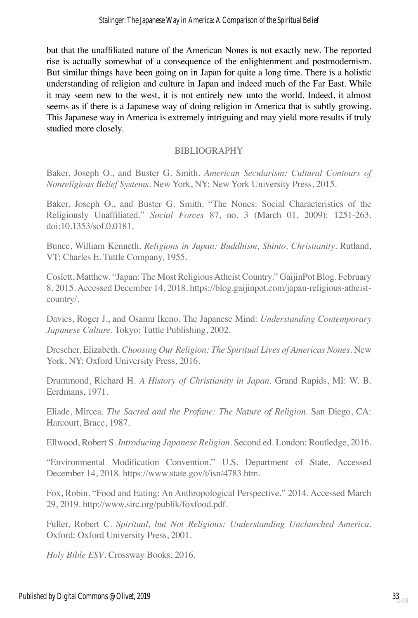but that the unaffiliated nature of the American Nones is not exactly new. The reported rise is actually somewhat of a consequence of the enlightenment and postmodernism. But similar things have been going on in Japan for quite a long time. There is a holistic understanding of religion and culture in Japan and indeed much of the Far East. While it may seem new to the west, it is not entirely new unto the world. Indeed, it almost seems as if there is a Japanese way of doing religion in America that is subtly growing. This Japanese way in America is extremely intriguing and may yield more results if truly studied more closely.

# BIBLIOGRAPHY

Baker, Joseph O., and Buster G. Smith. *American Secularism: Cultural Contours of Nonreligious Belief Systems.* New York, NY: New York University Press, 2015.

Baker, Joseph O., and Buster G. Smith. "The Nones: Social Characteristics of the Religiously Unaffiliated." *Social Forces* 87, no. 3 (March 01, 2009): 1251-263. doi:10.1353/sof.0.0181.

Bunce, William Kenneth. *Religions in Japan: Buddhism, Shinto, Christianity*. Rutland, VT: Charles E. Tuttle Company, 1955.

Coslett, Matthew. "Japan: The Most Religious Atheist Country." GaijinPot Blog. February 8, 2015. Accessed December 14, 2018. https://blog.gaijinpot.com/japan-religious-atheistcountry/.

Davies, Roger J., and Osamu Ikeno. The Japanese Mind: *Understanding Contemporary Japanese Culture.* Tokyo: Tuttle Publishing, 2002.

Drescher, Elizabeth. *Choosing Our Religion: The Spiritual Lives of Americas Nones.* New York, NY: Oxford University Press, 2016.

Drummond, Richard H. *A History of Christianity in Japan.* Grand Rapids, MI: W. B. Eerdmans, 1971.

Eliade, Mircea. *The Sacred and the Profane: The Nature of Religion.* San Diego, CA: Harcourt, Brace, 1987.

Ellwood, Robert S. *Introducing Japanese Religion*. Second ed. London: Routledge, 2016.

"Environmental Modification Convention." U.S. Department of State. Accessed December 14, 2018. https://www.state.gov/t/isn/4783.htm.

Fox, Robin. "Food and Eating: An Anthropological Perspective." 2014. Accessed March 29, 2019. http://www.sirc.org/publik/foxfood.pdf.

Fuller, Robert C. *Spiritual, but Not Religious: Understanding Unchurched America.*  Oxford: Oxford University Press, 2001.

*Holy Bible ESV*. Crossway Books, 2016.